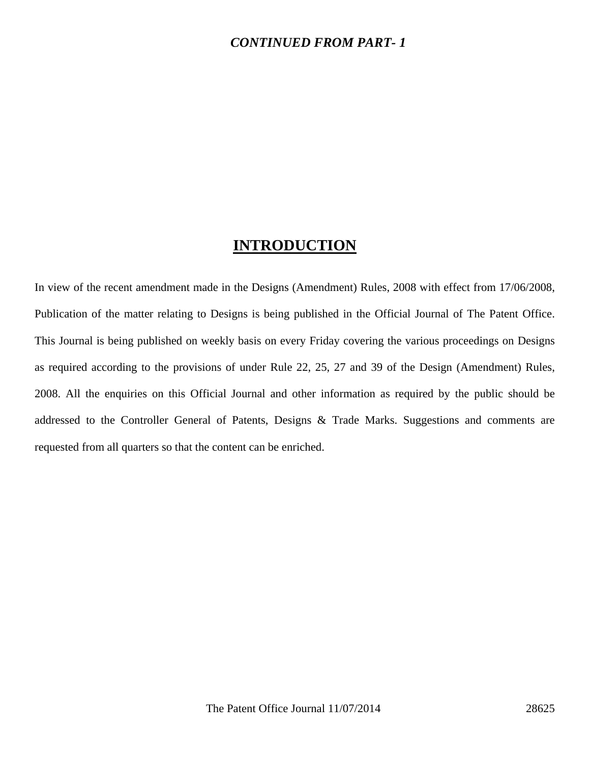### *CONTINUED FROM PART- 1*

## **INTRODUCTION**

In view of the recent amendment made in the Designs (Amendment) Rules, 2008 with effect from 17/06/2008, Publication of the matter relating to Designs is being published in the Official Journal of The Patent Office. This Journal is being published on weekly basis on every Friday covering the various proceedings on Designs as required according to the provisions of under Rule 22, 25, 27 and 39 of the Design (Amendment) Rules, 2008. All the enquiries on this Official Journal and other information as required by the public should be addressed to the Controller General of Patents, Designs & Trade Marks. Suggestions and comments are requested from all quarters so that the content can be enriched.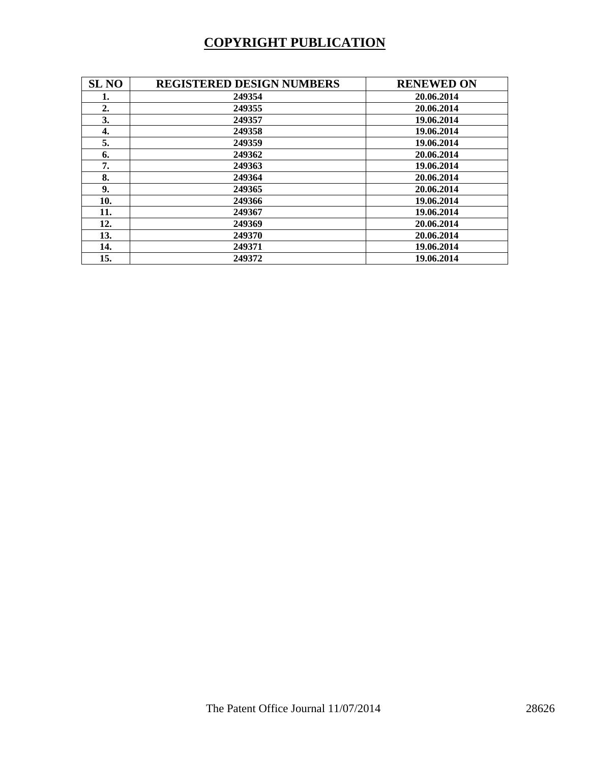# **COPYRIGHT PUBLICATION**

| <b>SL NO</b> | <b>REGISTERED DESIGN NUMBERS</b> | <b>RENEWED ON</b> |
|--------------|----------------------------------|-------------------|
| 1.           | 249354                           | 20.06.2014        |
| 2.           | 249355                           | 20.06.2014        |
| 3.           | 249357                           | 19.06.2014        |
| 4.           | 249358                           | 19.06.2014        |
| 5.           | 249359                           | 19.06.2014        |
| 6.           | 249362                           | 20.06.2014        |
| 7.           | 249363                           | 19.06.2014        |
| 8.           | 249364                           | 20.06.2014        |
| 9.           | 249365                           | 20.06.2014        |
| 10.          | 249366                           | 19.06.2014        |
| 11.          | 249367                           | 19.06.2014        |
| 12.          | 249369                           | 20.06.2014        |
| 13.          | 249370                           | 20.06.2014        |
| 14.          | 249371                           | 19.06.2014        |
| 15.          | 249372                           | 19.06.2014        |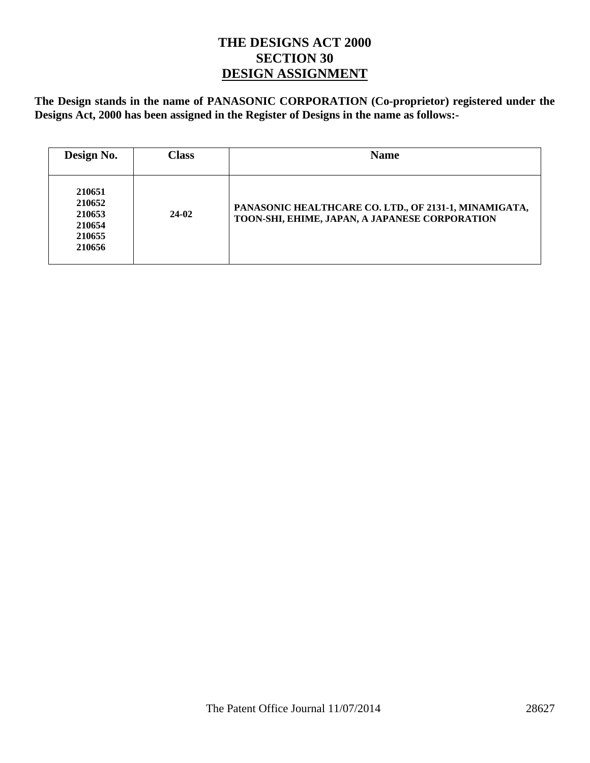## **THE DESIGNS ACT 2000 SECTION 30 DESIGN ASSIGNMENT**

**The Design stands in the name of PANASONIC CORPORATION (Co-proprietor) registered under the Designs Act, 2000 has been assigned in the Register of Designs in the name as follows:-** 

| Design No.                                               | <b>Class</b> | <b>Name</b>                                                                                             |
|----------------------------------------------------------|--------------|---------------------------------------------------------------------------------------------------------|
| 210651<br>210652<br>210653<br>210654<br>210655<br>210656 | $24-02$      | PANASONIC HEALTHCARE CO. LTD., OF 2131-1, MINAMIGATA,<br>TOON-SHI, EHIME, JAPAN, A JAPANESE CORPORATION |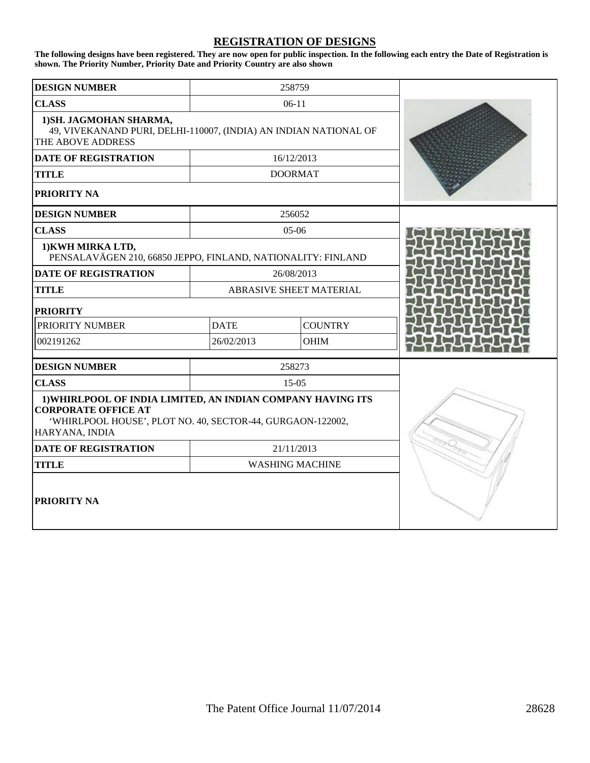#### **REGISTRATION OF DESIGNS**

**The following designs have been registered. They are now open for public inspection. In the following each entry the Date of Registration is shown. The Priority Number, Priority Date and Priority Country are also shown** 

| <b>DESIGN NUMBER</b>                                                                                                                                                      |             | 258759                  |  |
|---------------------------------------------------------------------------------------------------------------------------------------------------------------------------|-------------|-------------------------|--|
| <b>CLASS</b>                                                                                                                                                              | $06-11$     |                         |  |
| 1) SH. JAGMOHAN SHARMA,<br>49, VIVEKANAND PURI, DELHI-110007, (INDIA) AN INDIAN NATIONAL OF<br>THE ABOVE ADDRESS                                                          |             |                         |  |
| <b>DATE OF REGISTRATION</b>                                                                                                                                               |             | 16/12/2013              |  |
| <b>TITLE</b>                                                                                                                                                              |             | <b>DOORMAT</b>          |  |
| PRIORITY NA                                                                                                                                                               |             |                         |  |
| <b>DESIGN NUMBER</b>                                                                                                                                                      |             | 256052                  |  |
| <b>CLASS</b>                                                                                                                                                              |             | 05-06                   |  |
| 1) KWH MIRKA LTD,<br>PENSALAVÄGEN 210, 66850 JEPPO, FINLAND, NATIONALITY: FINLAND                                                                                         |             |                         |  |
| <b>DATE OF REGISTRATION</b>                                                                                                                                               |             | 26/08/2013              |  |
| <b>TITLE</b>                                                                                                                                                              |             | ABRASIVE SHEET MATERIAL |  |
| <b>PRIORITY</b>                                                                                                                                                           |             |                         |  |
| <b>PRIORITY NUMBER</b>                                                                                                                                                    | <b>DATE</b> | <b>COUNTRY</b>          |  |
| 002191262                                                                                                                                                                 | 26/02/2013  | <b>OHIM</b>             |  |
| <b>DESIGN NUMBER</b>                                                                                                                                                      |             | 258273                  |  |
| <b>CLASS</b>                                                                                                                                                              |             | $15-05$                 |  |
| 1) WHIRLPOOL OF INDIA LIMITED, AN INDIAN COMPANY HAVING ITS<br><b>CORPORATE OFFICE AT</b><br>'WHIRLPOOL HOUSE', PLOT NO. 40, SECTOR-44, GURGAON-122002,<br>HARYANA, INDIA |             |                         |  |
| <b>DATE OF REGISTRATION</b>                                                                                                                                               |             | 21/11/2013              |  |
| <b>TITLE</b>                                                                                                                                                              |             | <b>WASHING MACHINE</b>  |  |
| <b>PRIORITY NA</b>                                                                                                                                                        |             |                         |  |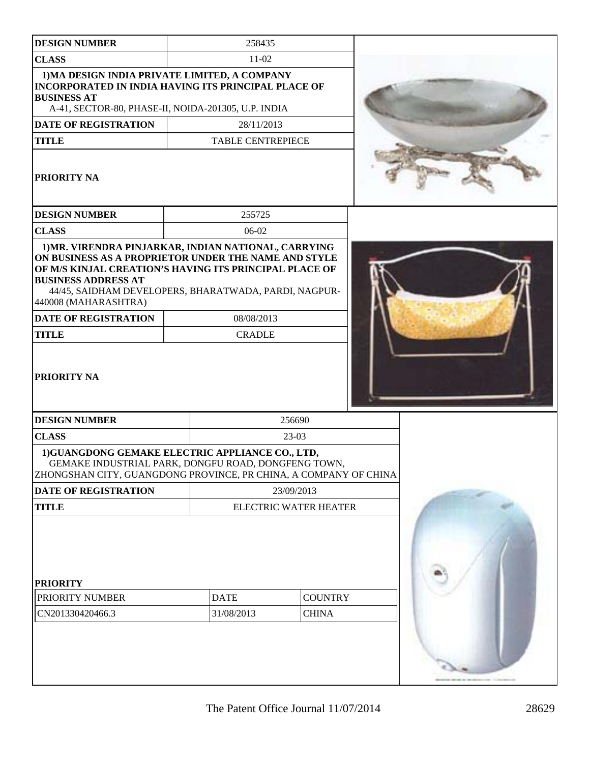| <b>DESIGN NUMBER</b>                                                                                                                                                                                                                                                                                                                                       |  | 258435                       |                                |  |  |
|------------------------------------------------------------------------------------------------------------------------------------------------------------------------------------------------------------------------------------------------------------------------------------------------------------------------------------------------------------|--|------------------------------|--------------------------------|--|--|
| <b>CLASS</b>                                                                                                                                                                                                                                                                                                                                               |  | $11-02$                      |                                |  |  |
| 1) MA DESIGN INDIA PRIVATE LIMITED, A COMPANY<br><b>INCORPORATED IN INDIA HAVING ITS PRINCIPAL PLACE OF</b><br><b>BUSINESS AT</b><br>A-41, SECTOR-80, PHASE-II, NOIDA-201305, U.P. INDIA                                                                                                                                                                   |  |                              |                                |  |  |
| <b>DATE OF REGISTRATION</b>                                                                                                                                                                                                                                                                                                                                |  |                              | 28/11/2013                     |  |  |
| <b>TITLE</b>                                                                                                                                                                                                                                                                                                                                               |  | <b>TABLE CENTREPIECE</b>     |                                |  |  |
| <b>PRIORITY NA</b>                                                                                                                                                                                                                                                                                                                                         |  |                              |                                |  |  |
| <b>DESIGN NUMBER</b>                                                                                                                                                                                                                                                                                                                                       |  | 255725                       |                                |  |  |
| <b>CLASS</b>                                                                                                                                                                                                                                                                                                                                               |  | 06-02                        |                                |  |  |
| 1) MR. VIRENDRA PINJARKAR, INDIAN NATIONAL, CARRYING<br>ON BUSINESS AS A PROPRIETOR UNDER THE NAME AND STYLE<br>OF M/S KINJAL CREATION'S HAVING ITS PRINCIPAL PLACE OF<br><b>BUSINESS ADDRESS AT</b><br>44/45, SAIDHAM DEVELOPERS, BHARATWADA, PARDI, NAGPUR-<br>440008 (MAHARASHTRA)<br><b>DATE OF REGISTRATION</b><br><b>TITLE</b><br><b>PRIORITY NA</b> |  | 08/08/2013<br><b>CRADLE</b>  |                                |  |  |
| <b>DESIGN NUMBER</b>                                                                                                                                                                                                                                                                                                                                       |  |                              | 256690                         |  |  |
| <b>CLASS</b>                                                                                                                                                                                                                                                                                                                                               |  | $23-03$                      |                                |  |  |
| 1)GUANGDONG GEMAKE ELECTRIC APPLIANCE CO., LTD,<br>GEMAKE INDUSTRIAL PARK, DONGFU ROAD, DONGFENG TOWN,<br>ZHONGSHAN CITY, GUANGDONG PROVINCE, PR CHINA, A COMPANY OF CHINA                                                                                                                                                                                 |  |                              |                                |  |  |
| DATE OF REGISTRATION                                                                                                                                                                                                                                                                                                                                       |  | 23/09/2013                   |                                |  |  |
| <b>TITLE</b>                                                                                                                                                                                                                                                                                                                                               |  | <b>ELECTRIC WATER HEATER</b> |                                |  |  |
| <b>PRIORITY</b><br>PRIORITY NUMBER<br>CN201330420466.3                                                                                                                                                                                                                                                                                                     |  | <b>DATE</b><br>31/08/2013    | <b>COUNTRY</b><br><b>CHINA</b> |  |  |
|                                                                                                                                                                                                                                                                                                                                                            |  |                              |                                |  |  |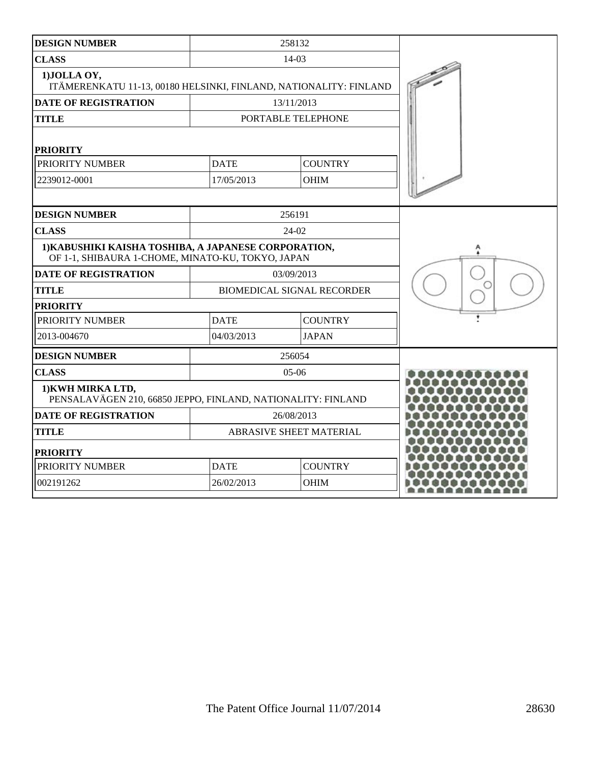| <b>DESIGN NUMBER</b>                                                                                      |             | 258132                            |  |
|-----------------------------------------------------------------------------------------------------------|-------------|-----------------------------------|--|
| <b>CLASS</b>                                                                                              | 14-03       |                                   |  |
| 1) JOLLA OY,<br>ITÄMERENKATU 11-13, 00180 HELSINKI, FINLAND, NATIONALITY: FINLAND                         |             |                                   |  |
| <b>DATE OF REGISTRATION</b>                                                                               |             | 13/11/2013                        |  |
| <b>TITLE</b>                                                                                              |             | PORTABLE TELEPHONE                |  |
| <b>PRIORITY</b>                                                                                           |             |                                   |  |
| PRIORITY NUMBER                                                                                           | <b>DATE</b> | <b>COUNTRY</b>                    |  |
| 2239012-0001                                                                                              | 17/05/2013  | <b>OHIM</b>                       |  |
|                                                                                                           |             |                                   |  |
| <b>DESIGN NUMBER</b>                                                                                      |             | 256191                            |  |
| <b>CLASS</b>                                                                                              |             | 24-02                             |  |
| 1) KABUSHIKI KAISHA TOSHIBA, A JAPANESE CORPORATION,<br>OF 1-1, SHIBAURA 1-CHOME, MINATO-KU, TOKYO, JAPAN |             |                                   |  |
| <b>DATE OF REGISTRATION</b>                                                                               |             | 03/09/2013                        |  |
| <b>TITLE</b>                                                                                              |             | <b>BIOMEDICAL SIGNAL RECORDER</b> |  |
| <b>PRIORITY</b>                                                                                           |             |                                   |  |
| PRIORITY NUMBER                                                                                           | <b>DATE</b> | <b>COUNTRY</b>                    |  |
| 2013-004670                                                                                               | 04/03/2013  | <b>JAPAN</b>                      |  |
| <b>DESIGN NUMBER</b>                                                                                      |             | 256054                            |  |
| <b>CLASS</b>                                                                                              |             | $05-06$                           |  |
| 1) KWH MIRKA LTD,<br>PENSALAVÄGEN 210, 66850 JEPPO, FINLAND, NATIONALITY: FINLAND                         |             |                                   |  |
| <b>DATE OF REGISTRATION</b>                                                                               | 26/08/2013  |                                   |  |
| <b>TITLE</b>                                                                                              |             | ABRASIVE SHEET MATERIAL           |  |
| <b>PRIORITY</b>                                                                                           |             |                                   |  |
| PRIORITY NUMBER                                                                                           | <b>DATE</b> | <b>COUNTRY</b>                    |  |
| 002191262                                                                                                 | 26/02/2013  | <b>OHIM</b>                       |  |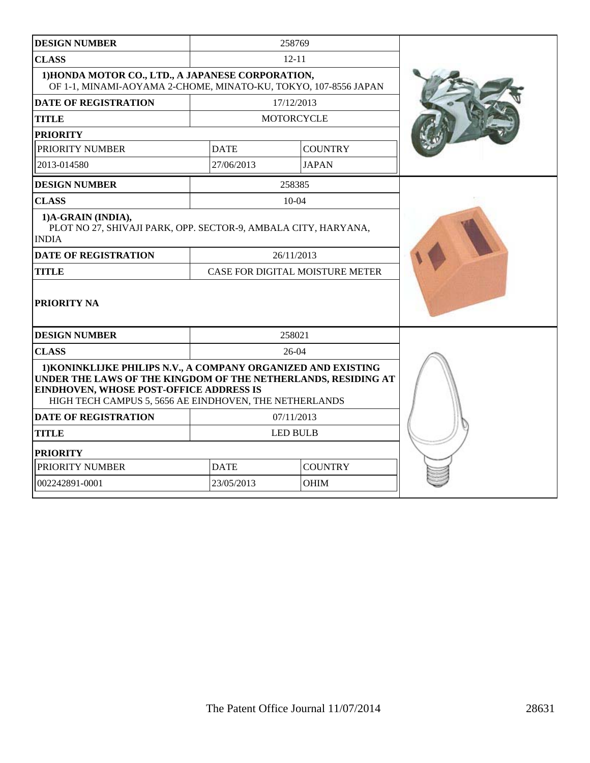| <b>DESIGN NUMBER</b>                                                                                                                                                                                                                |                               | 258769                                 |  |
|-------------------------------------------------------------------------------------------------------------------------------------------------------------------------------------------------------------------------------------|-------------------------------|----------------------------------------|--|
| <b>CLASS</b>                                                                                                                                                                                                                        | $12 - 11$                     |                                        |  |
| 1) HONDA MOTOR CO., LTD., A JAPANESE CORPORATION,<br>OF 1-1, MINAMI-AOYAMA 2-CHOME, MINATO-KU, TOKYO, 107-8556 JAPAN                                                                                                                |                               |                                        |  |
| <b>DATE OF REGISTRATION</b>                                                                                                                                                                                                         |                               | 17/12/2013                             |  |
| <b>TITLE</b>                                                                                                                                                                                                                        |                               | <b>MOTORCYCLE</b>                      |  |
| <b>PRIORITY</b>                                                                                                                                                                                                                     |                               |                                        |  |
| PRIORITY NUMBER                                                                                                                                                                                                                     | <b>DATE</b>                   | <b>COUNTRY</b>                         |  |
| 2013-014580                                                                                                                                                                                                                         | 27/06/2013                    | <b>JAPAN</b>                           |  |
| <b>DESIGN NUMBER</b>                                                                                                                                                                                                                |                               | 258385                                 |  |
| <b>CLASS</b>                                                                                                                                                                                                                        |                               | $10 - 04$                              |  |
| 1)A-GRAIN (INDIA),<br>PLOT NO 27, SHIVAJI PARK, OPP. SECTOR-9, AMBALA CITY, HARYANA,<br><b>INDIA</b>                                                                                                                                |                               |                                        |  |
| <b>DATE OF REGISTRATION</b>                                                                                                                                                                                                         |                               | 26/11/2013                             |  |
| <b>TITLE</b>                                                                                                                                                                                                                        |                               | <b>CASE FOR DIGITAL MOISTURE METER</b> |  |
| <b>PRIORITY NA</b>                                                                                                                                                                                                                  |                               |                                        |  |
| <b>DESIGN NUMBER</b>                                                                                                                                                                                                                |                               | 258021                                 |  |
| <b>CLASS</b>                                                                                                                                                                                                                        |                               | 26-04                                  |  |
| 1) KONINKLIJKE PHILIPS N.V., A COMPANY ORGANIZED AND EXISTING<br>UNDER THE LAWS OF THE KINGDOM OF THE NETHERLANDS, RESIDING AT<br>EINDHOVEN, WHOSE POST-OFFICE ADDRESS IS<br>HIGH TECH CAMPUS 5, 5656 AE EINDHOVEN, THE NETHERLANDS |                               |                                        |  |
| <b>DATE OF REGISTRATION</b>                                                                                                                                                                                                         |                               | 07/11/2013                             |  |
| <b>TITLE</b>                                                                                                                                                                                                                        | <b>LED BULB</b>               |                                        |  |
| <b>PRIORITY</b>                                                                                                                                                                                                                     |                               |                                        |  |
| PRIORITY NUMBER                                                                                                                                                                                                                     | <b>DATE</b><br><b>COUNTRY</b> |                                        |  |
| 002242891-0001                                                                                                                                                                                                                      | 23/05/2013                    | OHIM                                   |  |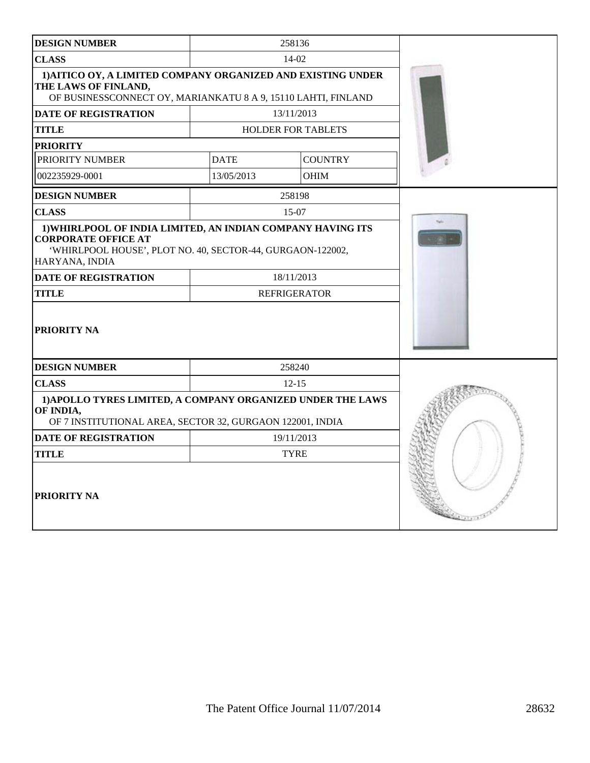| <b>DESIGN NUMBER</b>                                                                                                                                                      | 258136      |                           |  |
|---------------------------------------------------------------------------------------------------------------------------------------------------------------------------|-------------|---------------------------|--|
| <b>CLASS</b><br>14-02                                                                                                                                                     |             |                           |  |
| 1) AITICO OY, A LIMITED COMPANY ORGANIZED AND EXISTING UNDER<br>THE LAWS OF FINLAND,<br>OF BUSINESSCONNECT OY, MARIANKATU 8 A 9, 15110 LAHTI, FINLAND                     |             |                           |  |
| <b>DATE OF REGISTRATION</b>                                                                                                                                               |             | 13/11/2013                |  |
| <b>TITLE</b>                                                                                                                                                              |             | <b>HOLDER FOR TABLETS</b> |  |
| <b>PRIORITY</b>                                                                                                                                                           |             |                           |  |
| PRIORITY NUMBER                                                                                                                                                           | <b>DATE</b> | <b>COUNTRY</b>            |  |
| 002235929-0001                                                                                                                                                            | 13/05/2013  | <b>OHIM</b>               |  |
| <b>DESIGN NUMBER</b>                                                                                                                                                      |             | 258198                    |  |
| <b>CLASS</b>                                                                                                                                                              |             | 15-07                     |  |
| 1) WHIRLPOOL OF INDIA LIMITED, AN INDIAN COMPANY HAVING ITS<br><b>CORPORATE OFFICE AT</b><br>'WHIRLPOOL HOUSE', PLOT NO. 40, SECTOR-44, GURGAON-122002,<br>HARYANA, INDIA |             |                           |  |
| <b>DATE OF REGISTRATION</b>                                                                                                                                               |             | 18/11/2013                |  |
| <b>TITLE</b>                                                                                                                                                              |             | <b>REFRIGERATOR</b>       |  |
| PRIORITY NA                                                                                                                                                               |             |                           |  |
| <b>DESIGN NUMBER</b>                                                                                                                                                      |             | 258240                    |  |
| <b>CLASS</b>                                                                                                                                                              | $12 - 15$   |                           |  |
| 1) APOLLO TYRES LIMITED, A COMPANY ORGANIZED UNDER THE LAWS<br>OF INDIA,<br>OF 7 INSTITUTIONAL AREA, SECTOR 32, GURGAON 122001, INDIA                                     |             |                           |  |
| <b>DATE OF REGISTRATION</b>                                                                                                                                               |             | 19/11/2013                |  |
| <b>TITLE</b>                                                                                                                                                              |             | <b>TYRE</b>               |  |
| PRIORITY NA                                                                                                                                                               |             |                           |  |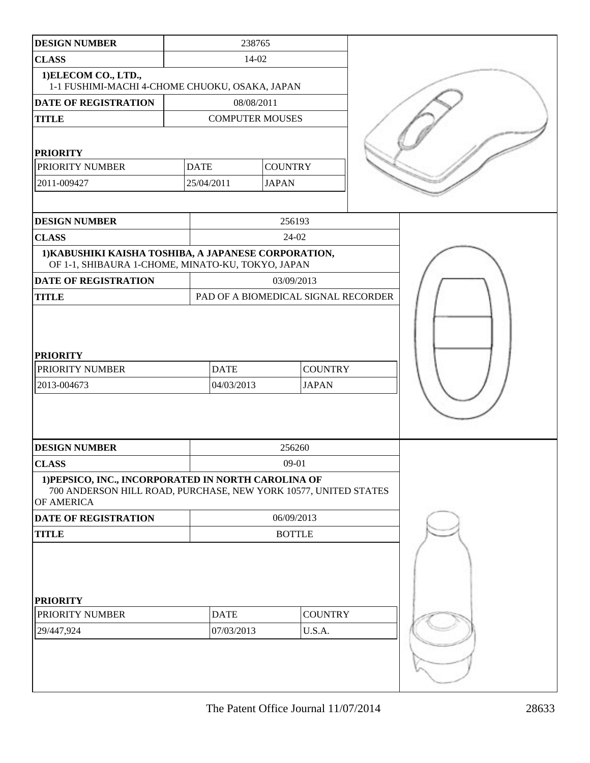| <b>DESIGN NUMBER</b>                                                                                                                 |             | 238765                                       |                                     |  |
|--------------------------------------------------------------------------------------------------------------------------------------|-------------|----------------------------------------------|-------------------------------------|--|
| <b>CLASS</b>                                                                                                                         |             | 14-02                                        |                                     |  |
| 1) ELECOM CO., LTD.,<br>1-1 FUSHIMI-MACHI 4-CHOME CHUOKU, OSAKA, JAPAN                                                               |             |                                              |                                     |  |
| DATE OF REGISTRATION                                                                                                                 |             | 08/08/2011                                   |                                     |  |
| <b>TITLE</b>                                                                                                                         |             | <b>COMPUTER MOUSES</b>                       |                                     |  |
|                                                                                                                                      |             |                                              |                                     |  |
| <b>PRIORITY</b>                                                                                                                      |             |                                              |                                     |  |
| PRIORITY NUMBER                                                                                                                      | <b>DATE</b> | <b>COUNTRY</b>                               |                                     |  |
| 2011-009427                                                                                                                          | 25/04/2011  | <b>JAPAN</b>                                 |                                     |  |
|                                                                                                                                      |             |                                              |                                     |  |
| <b>DESIGN NUMBER</b>                                                                                                                 |             |                                              | 256193                              |  |
| <b>CLASS</b>                                                                                                                         |             |                                              | 24-02                               |  |
| 1) KABUSHIKI KAISHA TOSHIBA, A JAPANESE CORPORATION,<br>OF 1-1, SHIBAURA 1-CHOME, MINATO-KU, TOKYO, JAPAN                            |             |                                              |                                     |  |
| DATE OF REGISTRATION                                                                                                                 |             | 03/09/2013                                   |                                     |  |
| <b>TITLE</b>                                                                                                                         |             |                                              | PAD OF A BIOMEDICAL SIGNAL RECORDER |  |
| <b>PRIORITY</b><br>PRIORITY NUMBER<br>2013-004673                                                                                    | <b>DATE</b> | <b>COUNTRY</b><br>04/03/2013<br><b>JAPAN</b> |                                     |  |
| <b>DESIGN NUMBER</b>                                                                                                                 |             |                                              | 256260                              |  |
| <b>CLASS</b>                                                                                                                         |             | $09 - 01$                                    |                                     |  |
| 1) PEPSICO, INC., INCORPORATED IN NORTH CAROLINA OF<br>700 ANDERSON HILL ROAD, PURCHASE, NEW YORK 10577, UNITED STATES<br>OF AMERICA |             |                                              |                                     |  |
| DATE OF REGISTRATION                                                                                                                 |             |                                              | 06/09/2013                          |  |
| <b>TITLE</b>                                                                                                                         |             | <b>BOTTLE</b>                                |                                     |  |
| <b>PRIORITY</b>                                                                                                                      |             |                                              |                                     |  |
| PRIORITY NUMBER                                                                                                                      | <b>DATE</b> |                                              | <b>COUNTRY</b>                      |  |
| 29/447,924                                                                                                                           | 07/03/2013  |                                              | U.S.A.                              |  |
|                                                                                                                                      |             |                                              |                                     |  |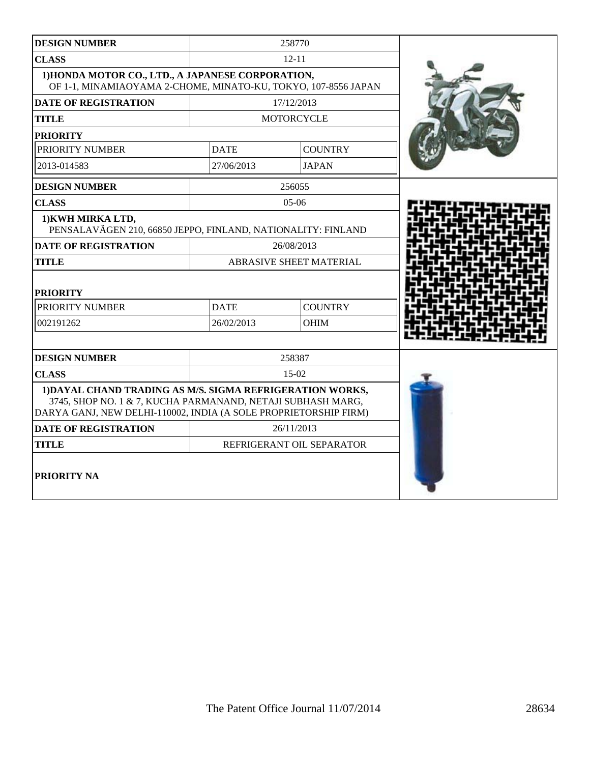| <b>DESIGN NUMBER</b>                                                                                                                                                                         |                                | 258770                    |  |
|----------------------------------------------------------------------------------------------------------------------------------------------------------------------------------------------|--------------------------------|---------------------------|--|
| <b>CLASS</b>                                                                                                                                                                                 | $12 - 11$                      |                           |  |
| 1) HONDA MOTOR CO., LTD., A JAPANESE CORPORATION,<br>OF 1-1, MINAMIAOYAMA 2-CHOME, MINATO-KU, TOKYO, 107-8556 JAPAN                                                                          |                                |                           |  |
| <b>DATE OF REGISTRATION</b>                                                                                                                                                                  |                                | 17/12/2013                |  |
| <b>TITLE</b>                                                                                                                                                                                 |                                | <b>MOTORCYCLE</b>         |  |
| <b>PRIORITY</b>                                                                                                                                                                              |                                |                           |  |
| PRIORITY NUMBER                                                                                                                                                                              | <b>DATE</b>                    | <b>COUNTRY</b>            |  |
| 2013-014583                                                                                                                                                                                  | 27/06/2013                     | <b>JAPAN</b>              |  |
| <b>DESIGN NUMBER</b>                                                                                                                                                                         |                                | 256055                    |  |
| <b>CLASS</b>                                                                                                                                                                                 |                                | $05-06$                   |  |
| 1) KWH MIRKA LTD,<br>PENSALAVÄGEN 210, 66850 JEPPO, FINLAND, NATIONALITY: FINLAND                                                                                                            |                                |                           |  |
| <b>DATE OF REGISTRATION</b>                                                                                                                                                                  | 26/08/2013                     |                           |  |
| <b>TITLE</b>                                                                                                                                                                                 | <b>ABRASIVE SHEET MATERIAL</b> |                           |  |
| <b>PRIORITY</b>                                                                                                                                                                              |                                |                           |  |
| PRIORITY NUMBER                                                                                                                                                                              | <b>DATE</b>                    | <b>COUNTRY</b>            |  |
| 002191262                                                                                                                                                                                    | 26/02/2013                     | <b>OHIM</b>               |  |
|                                                                                                                                                                                              |                                |                           |  |
| <b>DESIGN NUMBER</b>                                                                                                                                                                         |                                | 258387                    |  |
| <b>CLASS</b>                                                                                                                                                                                 | $15-02$                        |                           |  |
| 1) DAYAL CHAND TRADING AS M/S. SIGMA REFRIGERATION WORKS,<br>3745, SHOP NO. 1 & 7, KUCHA PARMANAND, NETAJI SUBHASH MARG,<br>DARYA GANJ, NEW DELHI-110002, INDIA (A SOLE PROPRIETORSHIP FIRM) |                                |                           |  |
| <b>DATE OF REGISTRATION</b>                                                                                                                                                                  |                                | 26/11/2013                |  |
| <b>TITLE</b>                                                                                                                                                                                 |                                | REFRIGERANT OIL SEPARATOR |  |
| <b>PRIORITY NA</b>                                                                                                                                                                           |                                |                           |  |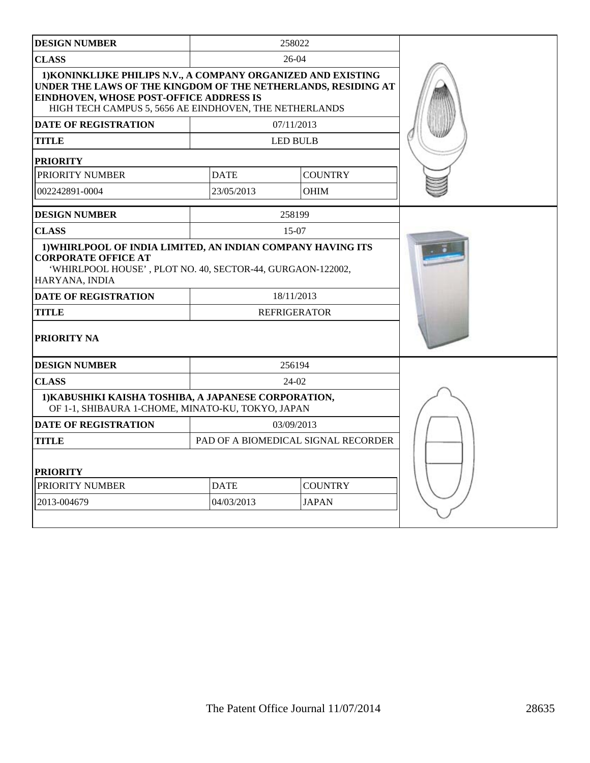| <b>DESIGN NUMBER</b>                                                                                                                                                                                                                    |                               | 258022                              |  |
|-----------------------------------------------------------------------------------------------------------------------------------------------------------------------------------------------------------------------------------------|-------------------------------|-------------------------------------|--|
| <b>CLASS</b>                                                                                                                                                                                                                            |                               | 26-04                               |  |
| 1) KONINKLIJKE PHILIPS N.V., A COMPANY ORGANIZED AND EXISTING<br>UNDER THE LAWS OF THE KINGDOM OF THE NETHERLANDS, RESIDING AT<br>EINDHOVEN, WHOSE POST-OFFICE ADDRESS IS<br>HIGH TECH CAMPUS 5, 5656 AE EINDHOVEN, THE NETHERLANDS     |                               |                                     |  |
| <b>DATE OF REGISTRATION</b>                                                                                                                                                                                                             |                               | 07/11/2013                          |  |
| <b>TITLE</b>                                                                                                                                                                                                                            |                               | <b>LED BULB</b>                     |  |
| <b>PRIORITY</b>                                                                                                                                                                                                                         |                               |                                     |  |
| PRIORITY NUMBER                                                                                                                                                                                                                         | <b>DATE</b>                   | <b>COUNTRY</b>                      |  |
| 002242891-0004                                                                                                                                                                                                                          | 23/05/2013                    | <b>OHIM</b>                         |  |
| <b>DESIGN NUMBER</b>                                                                                                                                                                                                                    |                               |                                     |  |
| <b>CLASS</b>                                                                                                                                                                                                                            |                               | 15-07                               |  |
| 1) WHIRLPOOL OF INDIA LIMITED, AN INDIAN COMPANY HAVING ITS<br><b>CORPORATE OFFICE AT</b><br>'WHIRLPOOL HOUSE', PLOT NO. 40, SECTOR-44, GURGAON-122002,<br>HARYANA, INDIA<br><b>DATE OF REGISTRATION</b><br><b>TITLE</b><br>PRIORITY NA |                               | 18/11/2013<br><b>REFRIGERATOR</b>   |  |
| <b>DESIGN NUMBER</b>                                                                                                                                                                                                                    |                               | 256194                              |  |
| <b>CLASS</b>                                                                                                                                                                                                                            | $24-02$                       |                                     |  |
| 1) KABUSHIKI KAISHA TOSHIBA, A JAPANESE CORPORATION,<br>OF 1-1, SHIBAURA 1-CHOME, MINATO-KU, TOKYO, JAPAN                                                                                                                               |                               |                                     |  |
| <b>DATE OF REGISTRATION</b>                                                                                                                                                                                                             |                               | 03/09/2013                          |  |
| TITLE                                                                                                                                                                                                                                   |                               | PAD OF A BIOMEDICAL SIGNAL RECORDER |  |
| <b>PRIORITY</b><br>PRIORITY NUMBER                                                                                                                                                                                                      | <b>COUNTRY</b><br><b>DATE</b> |                                     |  |
| 2013-004679                                                                                                                                                                                                                             | 04/03/2013                    | <b>JAPAN</b>                        |  |
|                                                                                                                                                                                                                                         |                               |                                     |  |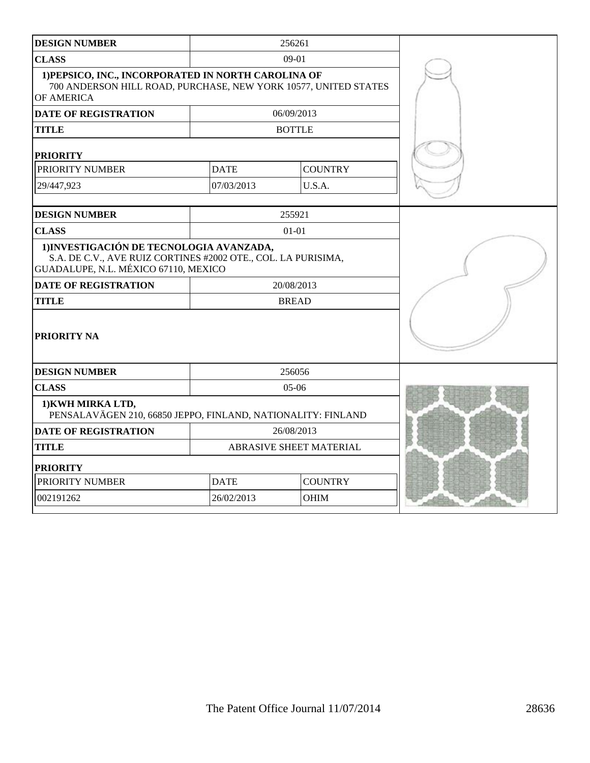| <b>DESIGN NUMBER</b>                                                                                                                              | 256261                        |                |  |
|---------------------------------------------------------------------------------------------------------------------------------------------------|-------------------------------|----------------|--|
| <b>CLASS</b>                                                                                                                                      |                               | $09-01$        |  |
| 1) PEPSICO, INC., INCORPORATED IN NORTH CAROLINA OF<br>700 ANDERSON HILL ROAD, PURCHASE, NEW YORK 10577, UNITED STATES<br>OF AMERICA              |                               |                |  |
| <b>DATE OF REGISTRATION</b>                                                                                                                       |                               | 06/09/2013     |  |
| <b>TITLE</b>                                                                                                                                      |                               | <b>BOTTLE</b>  |  |
| <b>PRIORITY</b>                                                                                                                                   |                               |                |  |
| PRIORITY NUMBER                                                                                                                                   | <b>DATE</b>                   | <b>COUNTRY</b> |  |
| 29/447,923                                                                                                                                        | 07/03/2013                    | U.S.A.         |  |
| <b>DESIGN NUMBER</b><br>255921                                                                                                                    |                               |                |  |
| <b>CLASS</b>                                                                                                                                      | $01 - 01$                     |                |  |
| 1) INVESTIGACIÓN DE TECNOLOGIA AVANZADA,<br>S.A. DE C.V., AVE RUIZ CORTINES #2002 OTE., COL. LA PURISIMA,<br>GUADALUPE, N.L. MÉXICO 67110, MEXICO |                               |                |  |
| <b>DATE OF REGISTRATION</b>                                                                                                                       |                               | 20/08/2013     |  |
| <b>TITLE</b>                                                                                                                                      |                               | <b>BREAD</b>   |  |
| <b>PRIORITY NA</b>                                                                                                                                |                               |                |  |
| <b>DESIGN NUMBER</b>                                                                                                                              | 256056                        |                |  |
| <b>CLASS</b>                                                                                                                                      |                               | $05-06$        |  |
| 1) KWH MIRKA LTD,<br>PENSALAVÄGEN 210, 66850 JEPPO, FINLAND, NATIONALITY: FINLAND                                                                 |                               |                |  |
| <b>DATE OF REGISTRATION</b>                                                                                                                       | 26/08/2013                    |                |  |
| <b>TITLE</b>                                                                                                                                      | ABRASIVE SHEET MATERIAL       |                |  |
| <b>PRIORITY</b>                                                                                                                                   |                               |                |  |
| PRIORITY NUMBER                                                                                                                                   | <b>COUNTRY</b><br><b>DATE</b> |                |  |
| 002191262                                                                                                                                         | 26/02/2013                    | <b>OHIM</b>    |  |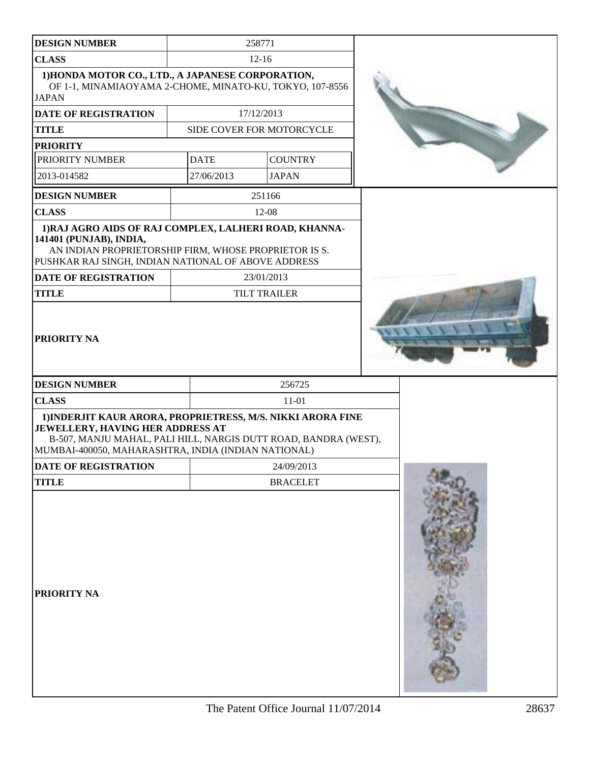| <b>DESIGN NUMBER</b>                                                                                                                                                                                                             | 258771      |                           |  |
|----------------------------------------------------------------------------------------------------------------------------------------------------------------------------------------------------------------------------------|-------------|---------------------------|--|
| <b>CLASS</b>                                                                                                                                                                                                                     | $12 - 16$   |                           |  |
| 1) HONDA MOTOR CO., LTD., A JAPANESE CORPORATION,<br>OF 1-1, MINAMIAOYAMA 2-CHOME, MINATO-KU, TOKYO, 107-8556                                                                                                                    |             |                           |  |
| <b>JAPAN</b>                                                                                                                                                                                                                     |             |                           |  |
| <b>DATE OF REGISTRATION</b>                                                                                                                                                                                                      |             | 17/12/2013                |  |
| <b>TITLE</b>                                                                                                                                                                                                                     |             | SIDE COVER FOR MOTORCYCLE |  |
| <b>PRIORITY</b>                                                                                                                                                                                                                  |             |                           |  |
| PRIORITY NUMBER                                                                                                                                                                                                                  | <b>DATE</b> | <b>COUNTRY</b>            |  |
| 2013-014582                                                                                                                                                                                                                      | 27/06/2013  | <b>JAPAN</b>              |  |
| <b>DESIGN NUMBER</b>                                                                                                                                                                                                             |             | 251166                    |  |
| <b>CLASS</b>                                                                                                                                                                                                                     |             | 12-08                     |  |
| 1) RAJ AGRO AIDS OF RAJ COMPLEX, LALHERI ROAD, KHANNA-<br>141401 (PUNJAB), INDIA,<br>AN INDIAN PROPRIETORSHIP FIRM, WHOSE PROPRIETOR IS S.<br>PUSHKAR RAJ SINGH, INDIAN NATIONAL OF ABOVE ADDRESS<br><b>DATE OF REGISTRATION</b> |             | 23/01/2013                |  |
| <b>TITLE</b>                                                                                                                                                                                                                     |             | <b>TILT TRAILER</b>       |  |
| PRIORITY NA                                                                                                                                                                                                                      |             |                           |  |
| <b>DESIGN NUMBER</b>                                                                                                                                                                                                             |             | 256725                    |  |
| <b>CLASS</b>                                                                                                                                                                                                                     |             | $11 - 01$                 |  |
| 1) INDERJIT KAUR ARORA, PROPRIETRESS, M/S. NIKKI ARORA FINE<br><b>JEWELLERY, HAVING HER ADDRESS AT</b><br>B-507, MANJU MAHAL, PALI HILL, NARGIS DUTT ROAD, BANDRA (WEST),<br>MUMBAI-400050, MAHARASHTRA, INDIA (INDIAN NATIONAL) |             |                           |  |
| DATE OF REGISTRATION                                                                                                                                                                                                             |             | 24/09/2013                |  |
| <b>TITLE</b>                                                                                                                                                                                                                     |             | <b>BRACELET</b>           |  |
|                                                                                                                                                                                                                                  |             |                           |  |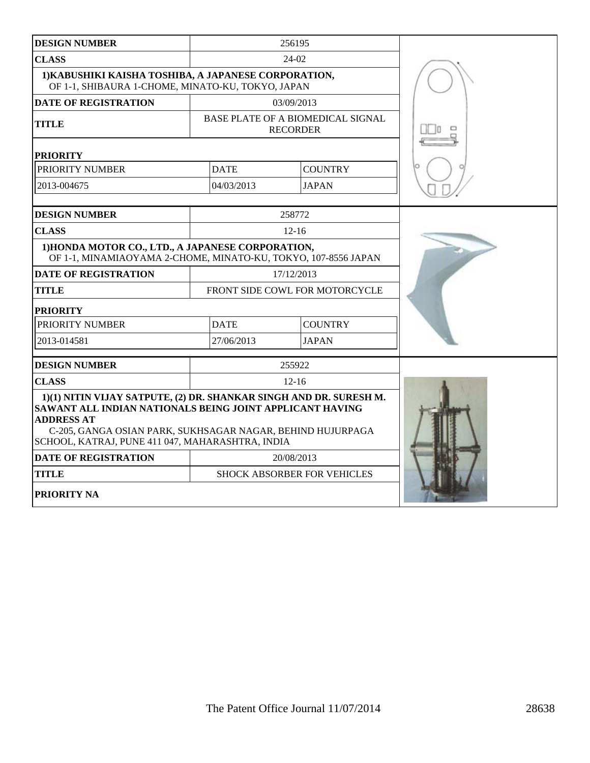| <b>DESIGN NUMBER</b>                                                                                                                                                                                                                                                  |             | 256195                                               |  |
|-----------------------------------------------------------------------------------------------------------------------------------------------------------------------------------------------------------------------------------------------------------------------|-------------|------------------------------------------------------|--|
| <b>CLASS</b>                                                                                                                                                                                                                                                          |             | $24-02$                                              |  |
| 1) KABUSHIKI KAISHA TOSHIBA, A JAPANESE CORPORATION,<br>OF 1-1, SHIBAURA 1-CHOME, MINATO-KU, TOKYO, JAPAN                                                                                                                                                             |             |                                                      |  |
| <b>DATE OF REGISTRATION</b>                                                                                                                                                                                                                                           |             | 03/09/2013                                           |  |
| <b>TITLE</b>                                                                                                                                                                                                                                                          |             | BASE PLATE OF A BIOMEDICAL SIGNAL<br><b>RECORDER</b> |  |
| <b>PRIORITY</b>                                                                                                                                                                                                                                                       |             |                                                      |  |
| PRIORITY NUMBER                                                                                                                                                                                                                                                       | <b>DATE</b> | <b>COUNTRY</b>                                       |  |
| 2013-004675                                                                                                                                                                                                                                                           | 04/03/2013  | <b>JAPAN</b>                                         |  |
|                                                                                                                                                                                                                                                                       |             |                                                      |  |
| <b>DESIGN NUMBER</b>                                                                                                                                                                                                                                                  |             | 258772                                               |  |
| <b>CLASS</b>                                                                                                                                                                                                                                                          |             | $12 - 16$                                            |  |
| 1) HONDA MOTOR CO., LTD., A JAPANESE CORPORATION,<br>OF 1-1, MINAMIAOYAMA 2-CHOME, MINATO-KU, TOKYO, 107-8556 JAPAN                                                                                                                                                   |             |                                                      |  |
| <b>DATE OF REGISTRATION</b>                                                                                                                                                                                                                                           |             | 17/12/2013                                           |  |
| <b>TITLE</b>                                                                                                                                                                                                                                                          |             | FRONT SIDE COWL FOR MOTORCYCLE                       |  |
| <b>PRIORITY</b>                                                                                                                                                                                                                                                       |             |                                                      |  |
| PRIORITY NUMBER                                                                                                                                                                                                                                                       | <b>DATE</b> | <b>COUNTRY</b>                                       |  |
| 2013-014581                                                                                                                                                                                                                                                           | 27/06/2013  | <b>JAPAN</b>                                         |  |
| <b>DESIGN NUMBER</b>                                                                                                                                                                                                                                                  |             | 255922                                               |  |
| <b>CLASS</b>                                                                                                                                                                                                                                                          |             | $12 - 16$                                            |  |
| 1)(1) NITIN VIJAY SATPUTE, (2) DR. SHANKAR SINGH AND DR. SURESH M.<br>SAWANT ALL INDIAN NATIONALS BEING JOINT APPLICANT HAVING<br><b>ADDRESS AT</b><br>C-205, GANGA OSIAN PARK, SUKHSAGAR NAGAR, BEHIND HUJURPAGA<br>SCHOOL, KATRAJ, PUNE 411 047, MAHARASHTRA, INDIA |             |                                                      |  |
| <b>DATE OF REGISTRATION</b>                                                                                                                                                                                                                                           |             | 20/08/2013                                           |  |
| <b>TITLE</b>                                                                                                                                                                                                                                                          |             | SHOCK ABSORBER FOR VEHICLES                          |  |
| PRIORITY NA                                                                                                                                                                                                                                                           |             |                                                      |  |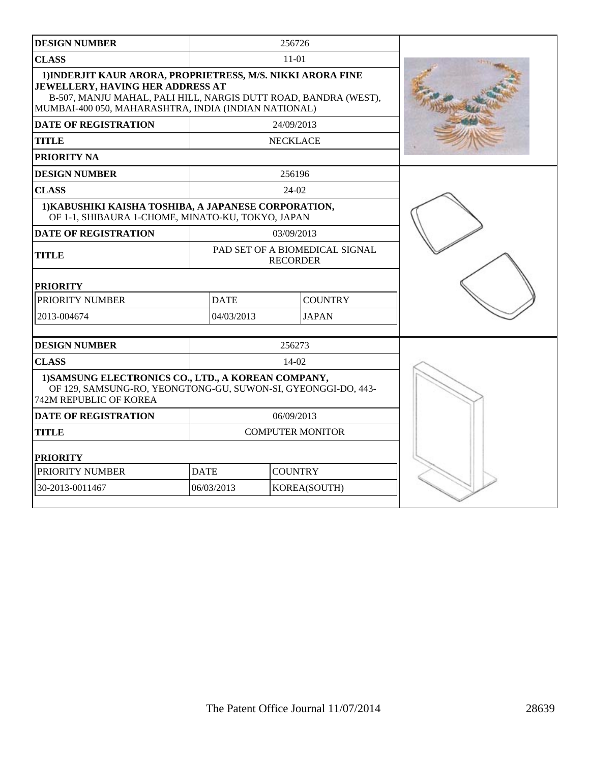| <b>DESIGN NUMBER</b>                                                                                                                                                                                                       |                         | 256726          |                                |  |
|----------------------------------------------------------------------------------------------------------------------------------------------------------------------------------------------------------------------------|-------------------------|-----------------|--------------------------------|--|
| <b>CLASS</b>                                                                                                                                                                                                               |                         | 11-01           |                                |  |
| 1) INDERJIT KAUR ARORA, PROPRIETRESS, M/S. NIKKI ARORA FINE<br>JEWELLERY, HAVING HER ADDRESS AT<br>B-507, MANJU MAHAL, PALI HILL, NARGIS DUTT ROAD, BANDRA (WEST),<br>MUMBAI-400 050, MAHARASHTRA, INDIA (INDIAN NATIONAL) |                         |                 |                                |  |
| <b>DATE OF REGISTRATION</b>                                                                                                                                                                                                |                         | 24/09/2013      |                                |  |
| <b>TITLE</b>                                                                                                                                                                                                               | <b>NECKLACE</b>         |                 |                                |  |
| PRIORITY NA                                                                                                                                                                                                                |                         |                 |                                |  |
| <b>DESIGN NUMBER</b>                                                                                                                                                                                                       |                         | 256196          |                                |  |
| <b>CLASS</b>                                                                                                                                                                                                               |                         | 24-02           |                                |  |
| 1) KABUSHIKI KAISHA TOSHIBA, A JAPANESE CORPORATION,<br>OF 1-1, SHIBAURA 1-CHOME, MINATO-KU, TOKYO, JAPAN                                                                                                                  |                         |                 |                                |  |
| <b>DATE OF REGISTRATION</b>                                                                                                                                                                                                |                         | 03/09/2013      |                                |  |
| <b>TITLE</b>                                                                                                                                                                                                               |                         | <b>RECORDER</b> | PAD SET OF A BIOMEDICAL SIGNAL |  |
| <b>PRIORITY</b>                                                                                                                                                                                                            |                         |                 |                                |  |
| PRIORITY NUMBER                                                                                                                                                                                                            | <b>DATE</b>             |                 | <b>COUNTRY</b>                 |  |
| 2013-004674                                                                                                                                                                                                                | 04/03/2013              |                 | <b>JAPAN</b>                   |  |
| <b>DESIGN NUMBER</b>                                                                                                                                                                                                       |                         | 256273          |                                |  |
| <b>CLASS</b>                                                                                                                                                                                                               |                         | $14-02$         |                                |  |
| 1) SAMSUNG ELECTRONICS CO., LTD., A KOREAN COMPANY,<br>OF 129, SAMSUNG-RO, YEONGTONG-GU, SUWON-SI, GYEONGGI-DO, 443-<br><b>742M REPUBLIC OF KOREA</b>                                                                      |                         |                 |                                |  |
| <b>DATE OF REGISTRATION</b>                                                                                                                                                                                                | 06/09/2013              |                 |                                |  |
| <b>TITLE</b>                                                                                                                                                                                                               | <b>COMPUTER MONITOR</b> |                 |                                |  |
| <b>PRIORITY</b>                                                                                                                                                                                                            |                         |                 |                                |  |
| PRIORITY NUMBER                                                                                                                                                                                                            | <b>DATE</b>             | <b>COUNTRY</b>  |                                |  |
| 30-2013-0011467                                                                                                                                                                                                            | 06/03/2013              |                 | KOREA(SOUTH)                   |  |
|                                                                                                                                                                                                                            |                         |                 |                                |  |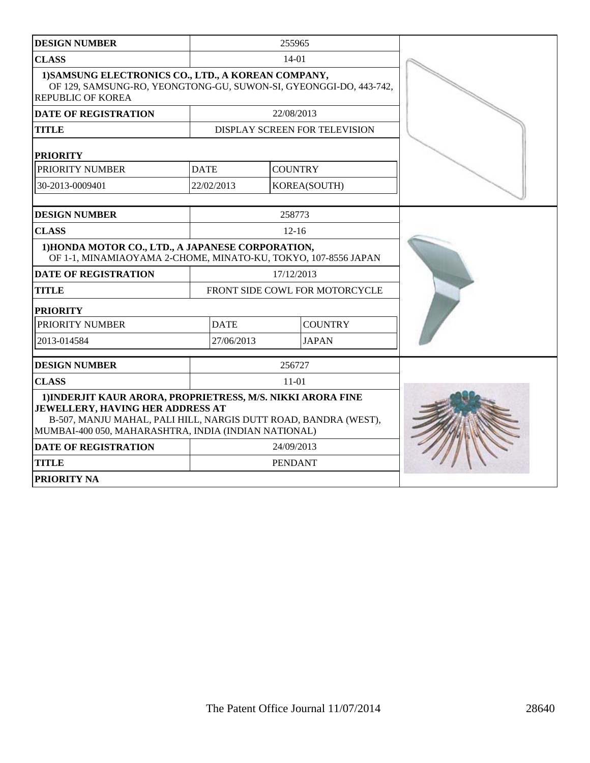| <b>DESIGN NUMBER</b>                                                                                                                                                                                                       |                                | 255965         |                               |  |
|----------------------------------------------------------------------------------------------------------------------------------------------------------------------------------------------------------------------------|--------------------------------|----------------|-------------------------------|--|
| <b>CLASS</b>                                                                                                                                                                                                               |                                | $14-01$        |                               |  |
| 1) SAMSUNG ELECTRONICS CO., LTD., A KOREAN COMPANY,<br>OF 129, SAMSUNG-RO, YEONGTONG-GU, SUWON-SI, GYEONGGI-DO, 443-742,<br><b>REPUBLIC OF KOREA</b>                                                                       |                                |                |                               |  |
| <b>DATE OF REGISTRATION</b>                                                                                                                                                                                                |                                | 22/08/2013     |                               |  |
| <b>TITLE</b>                                                                                                                                                                                                               |                                |                | DISPLAY SCREEN FOR TELEVISION |  |
| <b>PRIORITY</b>                                                                                                                                                                                                            |                                |                |                               |  |
| PRIORITY NUMBER                                                                                                                                                                                                            | <b>DATE</b>                    | <b>COUNTRY</b> |                               |  |
| 30-2013-0009401                                                                                                                                                                                                            | 22/02/2013                     |                | KOREA(SOUTH)                  |  |
| <b>DESIGN NUMBER</b>                                                                                                                                                                                                       |                                | 258773         |                               |  |
| <b>CLASS</b>                                                                                                                                                                                                               |                                | $12 - 16$      |                               |  |
| 1) HONDA MOTOR CO., LTD., A JAPANESE CORPORATION,<br>OF 1-1, MINAMIAOYAMA 2-CHOME, MINATO-KU, TOKYO, 107-8556 JAPAN                                                                                                        |                                |                |                               |  |
| <b>DATE OF REGISTRATION</b>                                                                                                                                                                                                | 17/12/2013                     |                |                               |  |
| <b>TITLE</b>                                                                                                                                                                                                               | FRONT SIDE COWL FOR MOTORCYCLE |                |                               |  |
| <b>PRIORITY</b>                                                                                                                                                                                                            |                                |                |                               |  |
| PRIORITY NUMBER                                                                                                                                                                                                            | <b>DATE</b>                    |                | <b>COUNTRY</b>                |  |
| 2013-014584                                                                                                                                                                                                                | 27/06/2013                     |                | <b>JAPAN</b>                  |  |
| <b>DESIGN NUMBER</b>                                                                                                                                                                                                       |                                | 256727         |                               |  |
| <b>CLASS</b>                                                                                                                                                                                                               | $11-01$                        |                |                               |  |
| 1) INDERJIT KAUR ARORA, PROPRIETRESS, M/S. NIKKI ARORA FINE<br>JEWELLERY, HAVING HER ADDRESS AT<br>B-507, MANJU MAHAL, PALI HILL, NARGIS DUTT ROAD, BANDRA (WEST),<br>MUMBAI-400 050, MAHARASHTRA, INDIA (INDIAN NATIONAL) |                                |                |                               |  |
| <b>DATE OF REGISTRATION</b>                                                                                                                                                                                                |                                | 24/09/2013     |                               |  |
| <b>TITLE</b>                                                                                                                                                                                                               |                                | <b>PENDANT</b> |                               |  |
| PRIORITY NA                                                                                                                                                                                                                |                                |                |                               |  |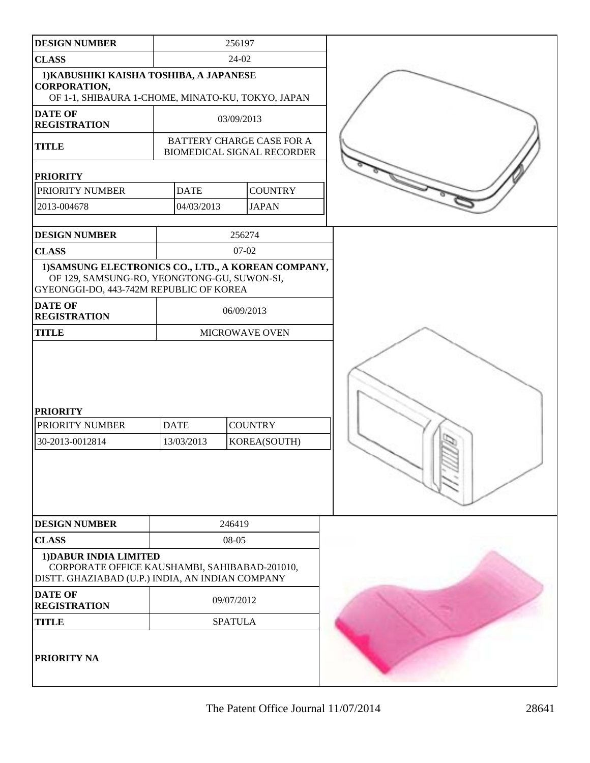| <b>DESIGN NUMBER</b>                                                                                                                          |                           | 256197                                                         |  |
|-----------------------------------------------------------------------------------------------------------------------------------------------|---------------------------|----------------------------------------------------------------|--|
| <b>CLASS</b>                                                                                                                                  | 24-02                     |                                                                |  |
| 1) KABUSHIKI KAISHA TOSHIBA, A JAPANESE<br><b>CORPORATION,</b><br>OF 1-1, SHIBAURA 1-CHOME, MINATO-KU, TOKYO, JAPAN                           |                           |                                                                |  |
| <b>DATE OF</b><br><b>REGISTRATION</b>                                                                                                         |                           | 03/09/2013                                                     |  |
| <b>TITLE</b>                                                                                                                                  |                           | BATTERY CHARGE CASE FOR A<br><b>BIOMEDICAL SIGNAL RECORDER</b> |  |
| <b>PRIORITY</b>                                                                                                                               |                           |                                                                |  |
| PRIORITY NUMBER                                                                                                                               | <b>DATE</b>               | <b>COUNTRY</b>                                                 |  |
| 2013-004678                                                                                                                                   | 04/03/2013                | <b>JAPAN</b>                                                   |  |
| <b>DESIGN NUMBER</b>                                                                                                                          |                           | 256274                                                         |  |
| <b>CLASS</b>                                                                                                                                  |                           | 07-02                                                          |  |
| 1) SAMSUNG ELECTRONICS CO., LTD., A KOREAN COMPANY,<br>OF 129, SAMSUNG-RO, YEONGTONG-GU, SUWON-SI,<br>GYEONGGI-DO, 443-742M REPUBLIC OF KOREA |                           |                                                                |  |
| <b>DATE OF</b><br><b>REGISTRATION</b>                                                                                                         |                           | 06/09/2013                                                     |  |
| <b>TITLE</b>                                                                                                                                  | MICROWAVE OVEN            |                                                                |  |
| <b>PRIORITY</b><br>PRIORITY NUMBER<br>30-2013-0012814                                                                                         | <b>DATE</b><br>13/03/2013 | <b>COUNTRY</b><br>KOREA(SOUTH)                                 |  |
| <b>DESIGN NUMBER</b>                                                                                                                          |                           | 246419                                                         |  |
| <b>CLASS</b>                                                                                                                                  |                           | 08-05                                                          |  |
| 1) DABUR INDIA LIMITED<br>CORPORATE OFFICE KAUSHAMBI, SAHIBABAD-201010,<br>DISTT. GHAZIABAD (U.P.) INDIA, AN INDIAN COMPANY                   |                           |                                                                |  |
| <b>DATE OF</b><br><b>REGISTRATION</b>                                                                                                         |                           | 09/07/2012                                                     |  |
| <b>TITLE</b>                                                                                                                                  |                           | <b>SPATULA</b>                                                 |  |
| <b>PRIORITY NA</b>                                                                                                                            |                           |                                                                |  |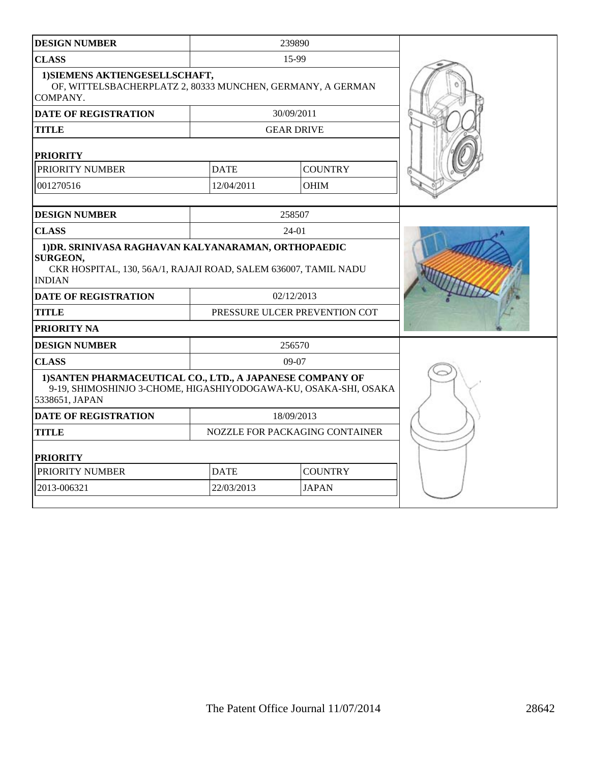| <b>DESIGN NUMBER</b>                                                                                                                                       |             | 239890                         |  |
|------------------------------------------------------------------------------------------------------------------------------------------------------------|-------------|--------------------------------|--|
| <b>CLASS</b>                                                                                                                                               |             | 15-99                          |  |
| 1) SIEMENS AKTIENGESELLSCHAFT,<br>OF, WITTELSBACHERPLATZ 2, 80333 MUNCHEN, GERMANY, A GERMAN<br>COMPANY.                                                   |             |                                |  |
| <b>DATE OF REGISTRATION</b>                                                                                                                                |             | 30/09/2011                     |  |
| TITLE                                                                                                                                                      |             | <b>GEAR DRIVE</b>              |  |
| <b>PRIORITY</b>                                                                                                                                            |             |                                |  |
| PRIORITY NUMBER                                                                                                                                            | <b>DATE</b> | <b>COUNTRY</b>                 |  |
| 001270516                                                                                                                                                  | 12/04/2011  | <b>OHIM</b>                    |  |
|                                                                                                                                                            |             |                                |  |
| <b>DESIGN NUMBER</b>                                                                                                                                       |             | 258507                         |  |
| <b>CLASS</b>                                                                                                                                               |             | 24-01                          |  |
| 1) DR. SRINIVASA RAGHAVAN KALYANARAMAN, ORTHOPAEDIC<br><b>SURGEON,</b><br>CKR HOSPITAL, 130, 56A/1, RAJAJI ROAD, SALEM 636007, TAMIL NADU<br><b>INDIAN</b> |             |                                |  |
| <b>DATE OF REGISTRATION</b>                                                                                                                                |             | 02/12/2013                     |  |
| <b>TITLE</b>                                                                                                                                               |             | PRESSURE ULCER PREVENTION COT  |  |
| PRIORITY NA                                                                                                                                                |             |                                |  |
| <b>DESIGN NUMBER</b>                                                                                                                                       |             |                                |  |
| <b>CLASS</b>                                                                                                                                               |             | 09-07                          |  |
| 1) SANTEN PHARMACEUTICAL CO., LTD., A JAPANESE COMPANY OF<br>9-19, SHIMOSHINJO 3-CHOME, HIGASHIYODOGAWA-KU, OSAKA-SHI, OSAKA<br>5338651, JAPAN             |             |                                |  |
| <b>DATE OF REGISTRATION</b>                                                                                                                                |             | 18/09/2013                     |  |
| <b>TITLE</b>                                                                                                                                               |             | NOZZLE FOR PACKAGING CONTAINER |  |
| <b>PRIORITY</b>                                                                                                                                            |             |                                |  |
| PRIORITY NUMBER                                                                                                                                            | <b>DATE</b> | <b>COUNTRY</b>                 |  |
| 2013-006321                                                                                                                                                | 22/03/2013  | <b>JAPAN</b>                   |  |
|                                                                                                                                                            |             |                                |  |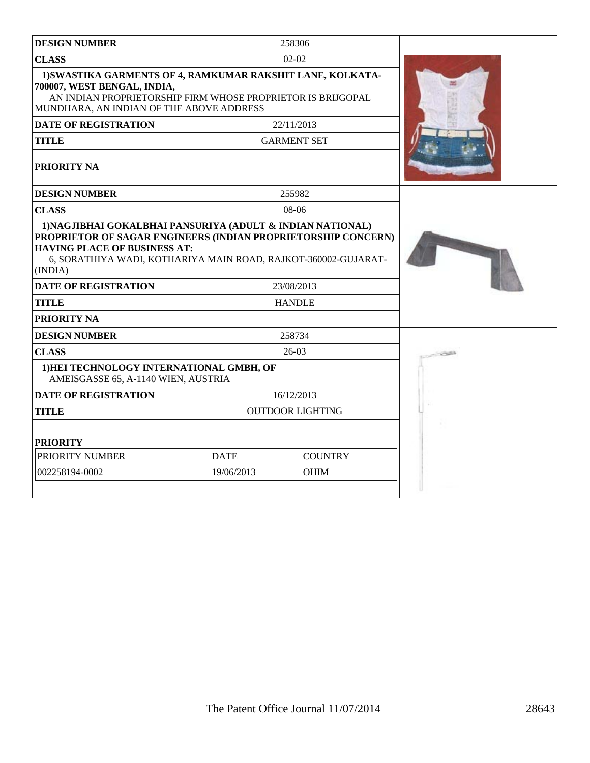| <b>DESIGN NUMBER</b>                                                                                                                                                                                                                            |                               | 258306                  |       |
|-------------------------------------------------------------------------------------------------------------------------------------------------------------------------------------------------------------------------------------------------|-------------------------------|-------------------------|-------|
| <b>CLASS</b>                                                                                                                                                                                                                                    |                               | $02 - 02$               |       |
| 1) SWASTIKA GARMENTS OF 4, RAMKUMAR RAKSHIT LANE, KOLKATA-<br>700007, WEST BENGAL, INDIA,<br>AN INDIAN PROPRIETORSHIP FIRM WHOSE PROPRIETOR IS BRIJGOPAL<br>MUNDHARA, AN INDIAN OF THE ABOVE ADDRESS                                            |                               |                         |       |
| <b>DATE OF REGISTRATION</b>                                                                                                                                                                                                                     |                               | 22/11/2013              |       |
| <b>TITLE</b>                                                                                                                                                                                                                                    |                               | <b>GARMENT SET</b>      |       |
| PRIORITY NA                                                                                                                                                                                                                                     |                               |                         |       |
| <b>DESIGN NUMBER</b>                                                                                                                                                                                                                            |                               | 255982                  |       |
| <b>CLASS</b>                                                                                                                                                                                                                                    |                               | $08-06$                 |       |
| 1) NAGJIBHAI GOKALBHAI PANSURIYA (ADULT & INDIAN NATIONAL)<br>PROPRIETOR OF SAGAR ENGINEERS (INDIAN PROPRIETORSHIP CONCERN)<br><b>HAVING PLACE OF BUSINESS AT:</b><br>6, SORATHIYA WADI, KOTHARIYA MAIN ROAD, RAJKOT-360002-GUJARAT-<br>(INDIA) |                               |                         |       |
| <b>DATE OF REGISTRATION</b>                                                                                                                                                                                                                     |                               | 23/08/2013              |       |
| <b>TITLE</b>                                                                                                                                                                                                                                    |                               | <b>HANDLE</b>           |       |
| PRIORITY NA                                                                                                                                                                                                                                     |                               |                         |       |
| <b>DESIGN NUMBER</b>                                                                                                                                                                                                                            |                               | 258734                  |       |
| <b>CLASS</b>                                                                                                                                                                                                                                    |                               | $26-03$                 | SOUTH |
| 1) HEI TECHNOLOGY INTERNATIONAL GMBH, OF<br>AMEISGASSE 65, A-1140 WIEN, AUSTRIA                                                                                                                                                                 |                               |                         |       |
| <b>DATE OF REGISTRATION</b>                                                                                                                                                                                                                     |                               | 16/12/2013              |       |
| <b>TITLE</b>                                                                                                                                                                                                                                    |                               | <b>OUTDOOR LIGHTING</b> |       |
| <b>PRIORITY</b>                                                                                                                                                                                                                                 |                               |                         |       |
| PRIORITY NUMBER                                                                                                                                                                                                                                 | <b>DATE</b><br><b>COUNTRY</b> |                         |       |
| 002258194-0002                                                                                                                                                                                                                                  | 19/06/2013                    | <b>OHIM</b>             |       |
|                                                                                                                                                                                                                                                 |                               |                         |       |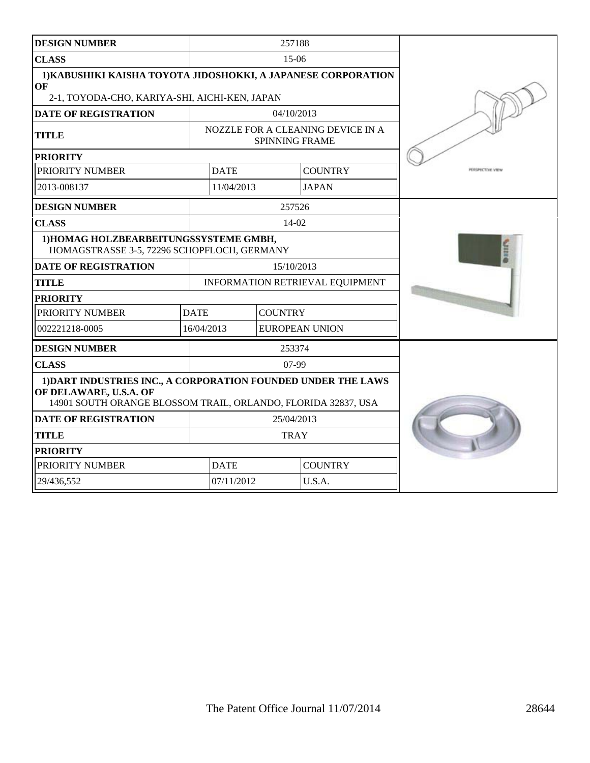| <b>DESIGN NUMBER</b>                                                                                                                                     |             |             | 257188         |                                   |                  |
|----------------------------------------------------------------------------------------------------------------------------------------------------------|-------------|-------------|----------------|-----------------------------------|------------------|
| <b>CLASS</b>                                                                                                                                             |             |             | $15-06$        |                                   |                  |
| 1) KABUSHIKI KAISHA TOYOTA JIDOSHOKKI, A JAPANESE CORPORATION<br>OF<br>2-1, TOYODA-CHO, KARIYA-SHI, AICHI-KEN, JAPAN                                     |             |             |                |                                   |                  |
| <b>DATE OF REGISTRATION</b>                                                                                                                              |             |             | 04/10/2013     |                                   |                  |
|                                                                                                                                                          |             |             |                | NOZZLE FOR A CLEANING DEVICE IN A |                  |
| <b>TITLE</b>                                                                                                                                             |             |             |                | <b>SPINNING FRAME</b>             |                  |
| <b>PRIORITY</b>                                                                                                                                          |             |             |                |                                   |                  |
| PRIORITY NUMBER                                                                                                                                          |             | <b>DATE</b> |                | <b>COUNTRY</b>                    | PERSPECTIVE VIEW |
| 2013-008137                                                                                                                                              |             | 11/04/2013  |                | <b>JAPAN</b>                      |                  |
| <b>DESIGN NUMBER</b>                                                                                                                                     |             |             | 257526         |                                   |                  |
| <b>CLASS</b>                                                                                                                                             |             |             | $14-02$        |                                   |                  |
| 1) HOMAG HOLZBEARBEITUNGSSYSTEME GMBH,<br>HOMAGSTRASSE 3-5, 72296 SCHOPFLOCH, GERMANY                                                                    |             |             |                |                                   |                  |
| <b>DATE OF REGISTRATION</b>                                                                                                                              |             |             | 15/10/2013     |                                   |                  |
| <b>TITLE</b>                                                                                                                                             |             |             |                | INFORMATION RETRIEVAL EQUIPMENT   |                  |
| <b>PRIORITY</b>                                                                                                                                          |             |             |                |                                   |                  |
| PRIORITY NUMBER                                                                                                                                          | <b>DATE</b> |             | <b>COUNTRY</b> |                                   |                  |
| 002221218-0005                                                                                                                                           | 16/04/2013  |             |                | EUROPEAN UNION                    |                  |
| <b>DESIGN NUMBER</b>                                                                                                                                     |             |             | 253374         |                                   |                  |
| <b>CLASS</b>                                                                                                                                             |             |             | $07-99$        |                                   |                  |
| 1) DART INDUSTRIES INC., A CORPORATION FOUNDED UNDER THE LAWS<br>OF DELAWARE, U.S.A. OF<br>14901 SOUTH ORANGE BLOSSOM TRAIL, ORLANDO, FLORIDA 32837, USA |             |             |                |                                   |                  |
| <b>DATE OF REGISTRATION</b>                                                                                                                              | 25/04/2013  |             |                |                                   |                  |
| <b>TITLE</b>                                                                                                                                             | <b>TRAY</b> |             |                |                                   |                  |
| <b>PRIORITY</b>                                                                                                                                          |             |             |                |                                   |                  |
| PRIORITY NUMBER                                                                                                                                          |             | <b>DATE</b> |                | <b>COUNTRY</b>                    |                  |
| 29/436,552                                                                                                                                               |             | 07/11/2012  |                | U.S.A.                            |                  |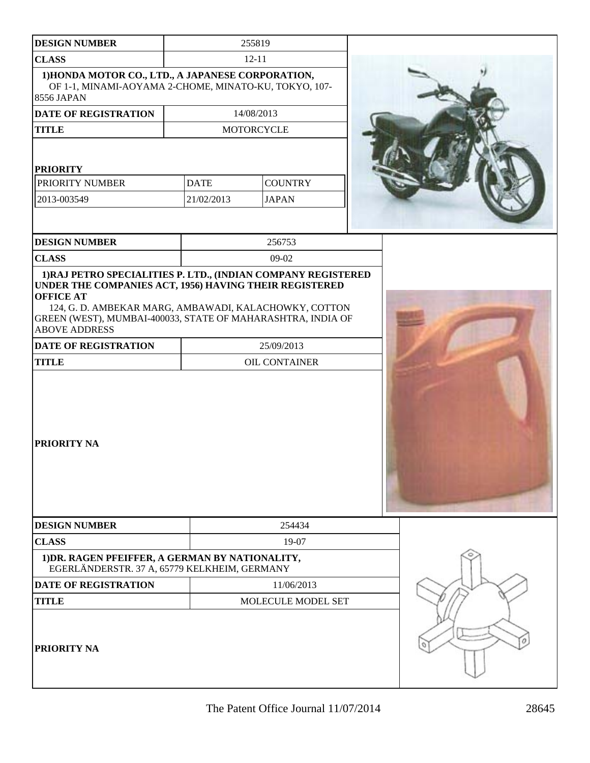| <b>DESIGN NUMBER</b>                                                                                                     |             | 255819                      |  |  |
|--------------------------------------------------------------------------------------------------------------------------|-------------|-----------------------------|--|--|
| <b>CLASS</b>                                                                                                             |             | $12 - 11$                   |  |  |
| 1) HONDA MOTOR CO., LTD., A JAPANESE CORPORATION,<br>OF 1-1, MINAMI-AOYAMA 2-CHOME, MINATO-KU, TOKYO, 107-<br>8556 JAPAN |             |                             |  |  |
| DATE OF REGISTRATION                                                                                                     |             | 14/08/2013                  |  |  |
| <b>TITLE</b>                                                                                                             |             | <b>MOTORCYCLE</b>           |  |  |
| <b>PRIORITY</b>                                                                                                          |             |                             |  |  |
| PRIORITY NUMBER                                                                                                          | <b>DATE</b> | <b>COUNTRY</b>              |  |  |
| 2013-003549                                                                                                              | 21/02/2013  | <b>JAPAN</b>                |  |  |
| <b>DESIGN NUMBER</b>                                                                                                     |             | 256753                      |  |  |
| <b>CLASS</b>                                                                                                             |             | 09-02                       |  |  |
| <b>ABOVE ADDRESS</b><br><b>DATE OF REGISTRATION</b><br><b>TITLE</b>                                                      |             | 25/09/2013<br>OIL CONTAINER |  |  |
| PRIORITY NA                                                                                                              |             |                             |  |  |
| <b>DESIGN NUMBER</b>                                                                                                     |             | 254434                      |  |  |
| <b>CLASS</b>                                                                                                             |             | 19-07                       |  |  |
| 1) DR. RAGEN PFEIFFER, A GERMAN BY NATIONALITY,<br>EGERLÄNDERSTR. 37 A, 65779 KELKHEIM, GERMANY                          |             |                             |  |  |
| <b>DATE OF REGISTRATION</b>                                                                                              |             | 11/06/2013                  |  |  |
| <b>TITLE</b>                                                                                                             |             | MOLECULE MODEL SET          |  |  |
| PRIORITY NA                                                                                                              |             |                             |  |  |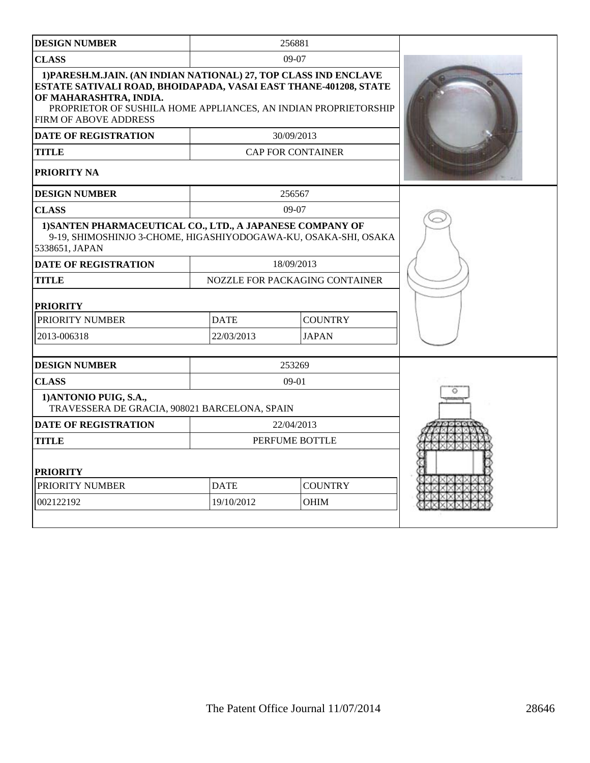| <b>DESIGN NUMBER</b>                                                                                                                                                                                                                                              |             | 256881                         |  |
|-------------------------------------------------------------------------------------------------------------------------------------------------------------------------------------------------------------------------------------------------------------------|-------------|--------------------------------|--|
| <b>CLASS</b>                                                                                                                                                                                                                                                      |             | $09-07$                        |  |
| 1) PARESH.M.JAIN. (AN INDIAN NATIONAL) 27, TOP CLASS IND ENCLAVE<br>ESTATE SATIVALI ROAD, BHOIDAPADA, VASAI EAST THANE-401208, STATE<br>OF MAHARASHTRA, INDIA.<br>PROPRIETOR OF SUSHILA HOME APPLIANCES, AN INDIAN PROPRIETORSHIP<br><b>FIRM OF ABOVE ADDRESS</b> |             |                                |  |
| <b>DATE OF REGISTRATION</b>                                                                                                                                                                                                                                       |             | 30/09/2013                     |  |
| <b>TITLE</b>                                                                                                                                                                                                                                                      |             | <b>CAP FOR CONTAINER</b>       |  |
| <b>PRIORITY NA</b>                                                                                                                                                                                                                                                |             |                                |  |
| <b>DESIGN NUMBER</b>                                                                                                                                                                                                                                              |             | 256567                         |  |
| <b>CLASS</b>                                                                                                                                                                                                                                                      |             | $09-07$                        |  |
| 1) SANTEN PHARMACEUTICAL CO., LTD., A JAPANESE COMPANY OF<br>9-19, SHIMOSHINJO 3-CHOME, HIGASHIYODOGAWA-KU, OSAKA-SHI, OSAKA<br>5338651, JAPAN                                                                                                                    |             |                                |  |
| <b>DATE OF REGISTRATION</b>                                                                                                                                                                                                                                       |             | 18/09/2013                     |  |
| <b>TITLE</b>                                                                                                                                                                                                                                                      |             | NOZZLE FOR PACKAGING CONTAINER |  |
| <b>PRIORITY</b>                                                                                                                                                                                                                                                   |             |                                |  |
| PRIORITY NUMBER                                                                                                                                                                                                                                                   | <b>DATE</b> | <b>COUNTRY</b>                 |  |
| 2013-006318                                                                                                                                                                                                                                                       | 22/03/2013  | <b>JAPAN</b>                   |  |
| <b>DESIGN NUMBER</b>                                                                                                                                                                                                                                              |             | 253269                         |  |
| <b>CLASS</b>                                                                                                                                                                                                                                                      |             | $09-01$                        |  |
| 1) ANTONIO PUIG, S.A.,<br>TRAVESSERA DE GRACIA, 908021 BARCELONA, SPAIN                                                                                                                                                                                           |             |                                |  |
| <b>DATE OF REGISTRATION</b>                                                                                                                                                                                                                                       |             | 22/04/2013                     |  |
| <b>TITLE</b>                                                                                                                                                                                                                                                      |             | PERFUME BOTTLE                 |  |
| <b>PRIORITY</b>                                                                                                                                                                                                                                                   |             |                                |  |
| PRIORITY NUMBER                                                                                                                                                                                                                                                   | <b>DATE</b> | <b>COUNTRY</b>                 |  |
| 002122192                                                                                                                                                                                                                                                         | 19/10/2012  | OHIM                           |  |
|                                                                                                                                                                                                                                                                   |             |                                |  |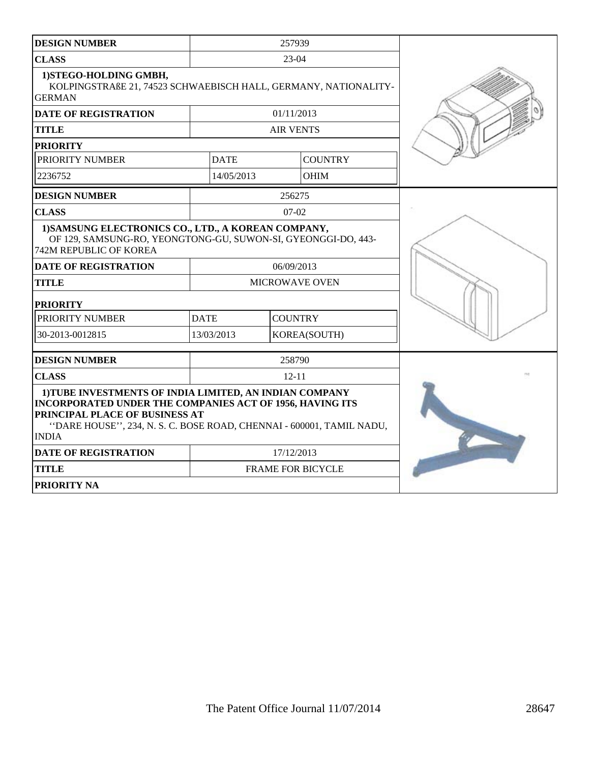| <b>DESIGN NUMBER</b>                                                                                                                                                                                                                          | 257939      |                       |                          |  |
|-----------------------------------------------------------------------------------------------------------------------------------------------------------------------------------------------------------------------------------------------|-------------|-----------------------|--------------------------|--|
| <b>CLASS</b>                                                                                                                                                                                                                                  |             | $23-04$               |                          |  |
| 1) STEGO-HOLDING GMBH,<br>KOLPINGSTRAßE 21, 74523 SCHWAEBISCH HALL, GERMANY, NATIONALITY-<br><b>GERMAN</b>                                                                                                                                    |             |                       |                          |  |
| <b>DATE OF REGISTRATION</b>                                                                                                                                                                                                                   |             | 01/11/2013            |                          |  |
| <b>TITLE</b>                                                                                                                                                                                                                                  |             | <b>AIR VENTS</b>      |                          |  |
| <b>PRIORITY</b>                                                                                                                                                                                                                               |             |                       |                          |  |
| PRIORITY NUMBER                                                                                                                                                                                                                               | <b>DATE</b> |                       | <b>COUNTRY</b>           |  |
| 2236752                                                                                                                                                                                                                                       | 14/05/2013  |                       | <b>OHIM</b>              |  |
| <b>DESIGN NUMBER</b>                                                                                                                                                                                                                          |             | 256275                |                          |  |
| <b>CLASS</b>                                                                                                                                                                                                                                  |             | $07-02$               |                          |  |
| 1) SAMSUNG ELECTRONICS CO., LTD., A KOREAN COMPANY,<br>OF 129, SAMSUNG-RO, YEONGTONG-GU, SUWON-SI, GYEONGGI-DO, 443-<br>742M REPUBLIC OF KOREA                                                                                                |             |                       |                          |  |
| <b>DATE OF REGISTRATION</b>                                                                                                                                                                                                                   |             | 06/09/2013            |                          |  |
| <b>TITLE</b>                                                                                                                                                                                                                                  |             | <b>MICROWAVE OVEN</b> |                          |  |
| <b>PRIORITY</b>                                                                                                                                                                                                                               |             |                       |                          |  |
| PRIORITY NUMBER                                                                                                                                                                                                                               | <b>DATE</b> | <b>COUNTRY</b>        |                          |  |
| 30-2013-0012815                                                                                                                                                                                                                               | 13/03/2013  |                       | KOREA(SOUTH)             |  |
| <b>DESIGN NUMBER</b>                                                                                                                                                                                                                          |             | 258790                |                          |  |
| <b>CLASS</b>                                                                                                                                                                                                                                  |             | $12 - 11$             |                          |  |
| 1) TUBE INVESTMENTS OF INDIA LIMITED, AN INDIAN COMPANY<br>INCORPORATED UNDER THE COMPANIES ACT OF 1956, HAVING ITS<br>PRINCIPAL PLACE OF BUSINESS AT<br>"DARE HOUSE", 234, N. S. C. BOSE ROAD, CHENNAI - 600001, TAMIL NADU,<br><b>INDIA</b> |             |                       |                          |  |
| <b>DATE OF REGISTRATION</b>                                                                                                                                                                                                                   | 17/12/2013  |                       |                          |  |
| <b>TITLE</b>                                                                                                                                                                                                                                  |             |                       | <b>FRAME FOR BICYCLE</b> |  |
| <b>PRIORITY NA</b>                                                                                                                                                                                                                            |             |                       |                          |  |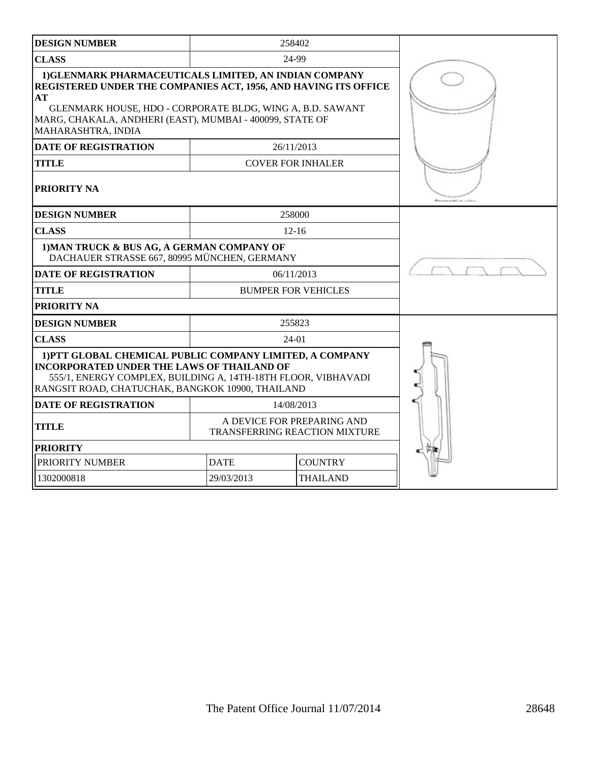| <b>DESIGN NUMBER</b>                                                                                                                                                                                                                                                           |                               | 258402                        |  |
|--------------------------------------------------------------------------------------------------------------------------------------------------------------------------------------------------------------------------------------------------------------------------------|-------------------------------|-------------------------------|--|
| <b>CLASS</b>                                                                                                                                                                                                                                                                   |                               | 24-99                         |  |
| 1) GLENMARK PHARMACEUTICALS LIMITED, AN INDIAN COMPANY<br>REGISTERED UNDER THE COMPANIES ACT, 1956, AND HAVING ITS OFFICE<br>AT<br>GLENMARK HOUSE, HDO - CORPORATE BLDG, WING A, B.D. SAWANT<br>MARG, CHAKALA, ANDHERI (EAST), MUMBAI - 400099, STATE OF<br>MAHARASHTRA, INDIA |                               |                               |  |
| <b>DATE OF REGISTRATION</b>                                                                                                                                                                                                                                                    |                               | 26/11/2013                    |  |
| <b>TITLE</b>                                                                                                                                                                                                                                                                   | <b>COVER FOR INHALER</b>      |                               |  |
| PRIORITY NA                                                                                                                                                                                                                                                                    |                               |                               |  |
| <b>DESIGN NUMBER</b>                                                                                                                                                                                                                                                           |                               | 258000                        |  |
| <b>CLASS</b>                                                                                                                                                                                                                                                                   |                               | $12 - 16$                     |  |
| 1) MAN TRUCK & BUS AG, A GERMAN COMPANY OF<br>DACHAUER STRASSE 667, 80995 MÜNCHEN, GERMANY                                                                                                                                                                                     |                               |                               |  |
| <b>DATE OF REGISTRATION</b>                                                                                                                                                                                                                                                    |                               | 06/11/2013                    |  |
| <b>TITLE</b>                                                                                                                                                                                                                                                                   | <b>BUMPER FOR VEHICLES</b>    |                               |  |
| PRIORITY NA                                                                                                                                                                                                                                                                    |                               |                               |  |
| <b>DESIGN NUMBER</b>                                                                                                                                                                                                                                                           |                               | 255823                        |  |
| <b>CLASS</b>                                                                                                                                                                                                                                                                   | 24-01                         |                               |  |
| 1) PTT GLOBAL CHEMICAL PUBLIC COMPANY LIMITED, A COMPANY<br><b>INCORPORATED UNDER THE LAWS OF THAILAND OF</b><br>555/1, ENERGY COMPLEX, BUILDING A, 14TH-18TH FLOOR, VIBHAVADI<br>RANGSIT ROAD, CHATUCHAK, BANGKOK 10900, THAILAND                                             |                               |                               |  |
| <b>DATE OF REGISTRATION</b>                                                                                                                                                                                                                                                    |                               | 14/08/2013                    |  |
| <b>TITLE</b>                                                                                                                                                                                                                                                                   | A DEVICE FOR PREPARING AND    | TRANSFERRING REACTION MIXTURE |  |
| <b>PRIORITY</b>                                                                                                                                                                                                                                                                |                               |                               |  |
| PRIORITY NUMBER                                                                                                                                                                                                                                                                | <b>DATE</b>                   | <b>COUNTRY</b>                |  |
| 1302000818                                                                                                                                                                                                                                                                     | 29/03/2013<br><b>THAILAND</b> |                               |  |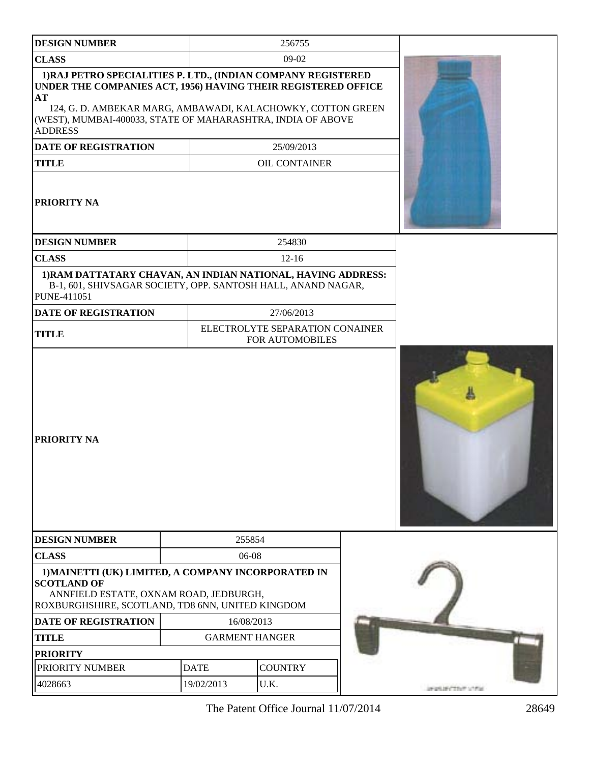| <b>DESIGN NUMBER</b>                                                                                                                                                                                                                                                                 |             | 256755                                             |                                |  |
|--------------------------------------------------------------------------------------------------------------------------------------------------------------------------------------------------------------------------------------------------------------------------------------|-------------|----------------------------------------------------|--------------------------------|--|
| <b>CLASS</b>                                                                                                                                                                                                                                                                         |             | $09-02$                                            |                                |  |
| 1) RAJ PETRO SPECIALITIES P. LTD., (INDIAN COMPANY REGISTERED<br>UNDER THE COMPANIES ACT, 1956) HAVING THEIR REGISTERED OFFICE<br>AT<br>124, G. D. AMBEKAR MARG, AMBAWADI, KALACHOWKY, COTTON GREEN<br>(WEST), MUMBAI-400033, STATE OF MAHARASHTRA, INDIA OF ABOVE<br><b>ADDRESS</b> |             |                                                    |                                |  |
| <b>DATE OF REGISTRATION</b>                                                                                                                                                                                                                                                          |             | 25/09/2013                                         |                                |  |
| <b>TITLE</b>                                                                                                                                                                                                                                                                         |             | <b>OIL CONTAINER</b>                               |                                |  |
| PRIORITY NA                                                                                                                                                                                                                                                                          |             |                                                    |                                |  |
| <b>DESIGN NUMBER</b>                                                                                                                                                                                                                                                                 |             | 254830                                             |                                |  |
| <b>CLASS</b>                                                                                                                                                                                                                                                                         |             | $12 - 16$                                          |                                |  |
| 1) RAM DATTATARY CHAVAN, AN INDIAN NATIONAL, HAVING ADDRESS:<br>B-1, 601, SHIVSAGAR SOCIETY, OPP. SANTOSH HALL, ANAND NAGAR,<br>PUNE-411051                                                                                                                                          |             |                                                    |                                |  |
| <b>DATE OF REGISTRATION</b>                                                                                                                                                                                                                                                          |             | 27/06/2013                                         |                                |  |
| <b>TITLE</b>                                                                                                                                                                                                                                                                         |             | ELECTROLYTE SEPARATION CONAINER<br>FOR AUTOMOBILES |                                |  |
| PRIORITY NA                                                                                                                                                                                                                                                                          |             |                                                    |                                |  |
| <b>DESIGN NUMBER</b>                                                                                                                                                                                                                                                                 | 255854      |                                                    |                                |  |
| <b>CLASS</b>                                                                                                                                                                                                                                                                         | 06-08       |                                                    |                                |  |
| 1) MAINETTI (UK) LIMITED, A COMPANY INCORPORATED IN<br><b>SCOTLAND OF</b><br>ANNFIELD ESTATE, OXNAM ROAD, JEDBURGH,<br>ROXBURGHSHIRE, SCOTLAND, TD8 6NN, UNITED KINGDOM                                                                                                              |             |                                                    |                                |  |
| <b>DATE OF REGISTRATION</b>                                                                                                                                                                                                                                                          | 16/08/2013  |                                                    |                                |  |
| <b>TITLE</b>                                                                                                                                                                                                                                                                         |             | <b>GARMENT HANGER</b>                              |                                |  |
| <b>PRIORITY</b>                                                                                                                                                                                                                                                                      |             |                                                    |                                |  |
| PRIORITY NUMBER                                                                                                                                                                                                                                                                      | <b>DATE</b> | <b>COUNTRY</b>                                     |                                |  |
| 4028663                                                                                                                                                                                                                                                                              | 19/02/2013  | U.K.                                               | <b>UNION UNION SHOW LITTLE</b> |  |

The Patent Office Journal 11/07/2014 28649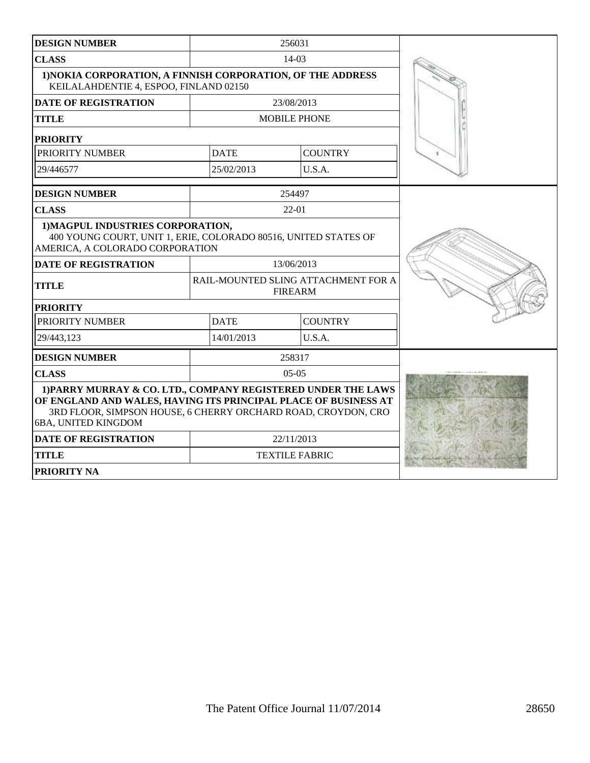| <b>DESIGN NUMBER</b>                                                                                                                                                                                                     |                                                                                                       | 256031                                                |  |  |  |
|--------------------------------------------------------------------------------------------------------------------------------------------------------------------------------------------------------------------------|-------------------------------------------------------------------------------------------------------|-------------------------------------------------------|--|--|--|
| <b>CLASS</b>                                                                                                                                                                                                             |                                                                                                       | $14-03$                                               |  |  |  |
|                                                                                                                                                                                                                          | 1) NOKIA CORPORATION, A FINNISH CORPORATION, OF THE ADDRESS<br>KEILALAHDENTIE 4, ESPOO, FINLAND 02150 |                                                       |  |  |  |
| <b>DATE OF REGISTRATION</b>                                                                                                                                                                                              |                                                                                                       | 23/08/2013                                            |  |  |  |
| <b>TITLE</b>                                                                                                                                                                                                             |                                                                                                       | <b>MOBILE PHONE</b>                                   |  |  |  |
| <b>PRIORITY</b>                                                                                                                                                                                                          |                                                                                                       |                                                       |  |  |  |
| PRIORITY NUMBER                                                                                                                                                                                                          | <b>DATE</b>                                                                                           | <b>COUNTRY</b>                                        |  |  |  |
| 29/446577                                                                                                                                                                                                                | 25/02/2013                                                                                            | U.S.A.                                                |  |  |  |
| <b>DESIGN NUMBER</b>                                                                                                                                                                                                     |                                                                                                       | 254497                                                |  |  |  |
| <b>CLASS</b>                                                                                                                                                                                                             |                                                                                                       | $22 - 01$                                             |  |  |  |
| 1) MAGPUL INDUSTRIES CORPORATION,<br>400 YOUNG COURT, UNIT 1, ERIE, COLORADO 80516, UNITED STATES OF<br>AMERICA, A COLORADO CORPORATION                                                                                  |                                                                                                       |                                                       |  |  |  |
| <b>DATE OF REGISTRATION</b>                                                                                                                                                                                              |                                                                                                       | 13/06/2013                                            |  |  |  |
| <b>TITLE</b>                                                                                                                                                                                                             |                                                                                                       | RAIL-MOUNTED SLING ATTACHMENT FOR A<br><b>FIREARM</b> |  |  |  |
| <b>PRIORITY</b>                                                                                                                                                                                                          |                                                                                                       |                                                       |  |  |  |
| PRIORITY NUMBER                                                                                                                                                                                                          | <b>DATE</b>                                                                                           | <b>COUNTRY</b>                                        |  |  |  |
| 29/443.123                                                                                                                                                                                                               | 14/01/2013                                                                                            | U.S.A.                                                |  |  |  |
| <b>DESIGN NUMBER</b>                                                                                                                                                                                                     |                                                                                                       | 258317                                                |  |  |  |
| <b>CLASS</b>                                                                                                                                                                                                             |                                                                                                       | $0.5 - 0.5$                                           |  |  |  |
| 1) PARRY MURRAY & CO. LTD., COMPANY REGISTERED UNDER THE LAWS<br>OF ENGLAND AND WALES, HAVING ITS PRINCIPAL PLACE OF BUSINESS AT<br>3RD FLOOR, SIMPSON HOUSE, 6 CHERRY ORCHARD ROAD, CROYDON, CRO<br>6BA, UNITED KINGDOM |                                                                                                       |                                                       |  |  |  |
| <b>DATE OF REGISTRATION</b>                                                                                                                                                                                              |                                                                                                       | 22/11/2013                                            |  |  |  |
| <b>TITLE</b>                                                                                                                                                                                                             |                                                                                                       | <b>TEXTILE FABRIC</b>                                 |  |  |  |
| <b>PRIORITY NA</b>                                                                                                                                                                                                       |                                                                                                       |                                                       |  |  |  |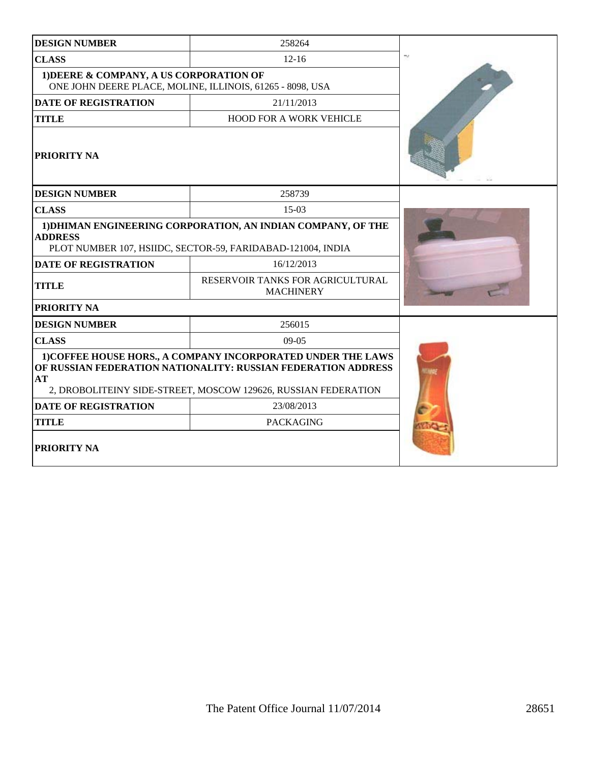| <b>DESIGN NUMBER</b>                                                                                 | 258264                                                                                                                                                                                          |  |
|------------------------------------------------------------------------------------------------------|-------------------------------------------------------------------------------------------------------------------------------------------------------------------------------------------------|--|
| <b>CLASS</b>                                                                                         |                                                                                                                                                                                                 |  |
| 1) DEERE & COMPANY, A US CORPORATION OF<br>ONE JOHN DEERE PLACE, MOLINE, ILLINOIS, 61265 - 8098, USA |                                                                                                                                                                                                 |  |
| <b>DATE OF REGISTRATION</b>                                                                          | 21/11/2013                                                                                                                                                                                      |  |
| <b>TITLE</b>                                                                                         | <b>HOOD FOR A WORK VEHICLE</b>                                                                                                                                                                  |  |
| <b>PRIORITY NA</b>                                                                                   |                                                                                                                                                                                                 |  |
| <b>DESIGN NUMBER</b>                                                                                 | 258739                                                                                                                                                                                          |  |
| <b>CLASS</b>                                                                                         | $15-03$                                                                                                                                                                                         |  |
| <b>ADDRESS</b>                                                                                       | 1) DHIMAN ENGINEERING CORPORATION, AN INDIAN COMPANY, OF THE<br>PLOT NUMBER 107, HSIIDC, SECTOR-59, FARIDABAD-121004, INDIA                                                                     |  |
| <b>DATE OF REGISTRATION</b>                                                                          | 16/12/2013                                                                                                                                                                                      |  |
| <b>TITLE</b>                                                                                         | RESERVOIR TANKS FOR AGRICULTURAL<br><b>MACHINERY</b>                                                                                                                                            |  |
| PRIORITY NA                                                                                          |                                                                                                                                                                                                 |  |
| <b>DESIGN NUMBER</b>                                                                                 | 256015                                                                                                                                                                                          |  |
| <b>CLASS</b>                                                                                         | $09-05$                                                                                                                                                                                         |  |
| AT                                                                                                   | 1) COFFEE HOUSE HORS., A COMPANY INCORPORATED UNDER THE LAWS<br>OF RUSSIAN FEDERATION NATIONALITY: RUSSIAN FEDERATION ADDRESS<br>2, DROBOLITEINY SIDE-STREET, MOSCOW 129626, RUSSIAN FEDERATION |  |
| <b>DATE OF REGISTRATION</b>                                                                          |                                                                                                                                                                                                 |  |
| <b>TITLE</b>                                                                                         | <b>PACKAGING</b>                                                                                                                                                                                |  |
| PRIORITY NA                                                                                          |                                                                                                                                                                                                 |  |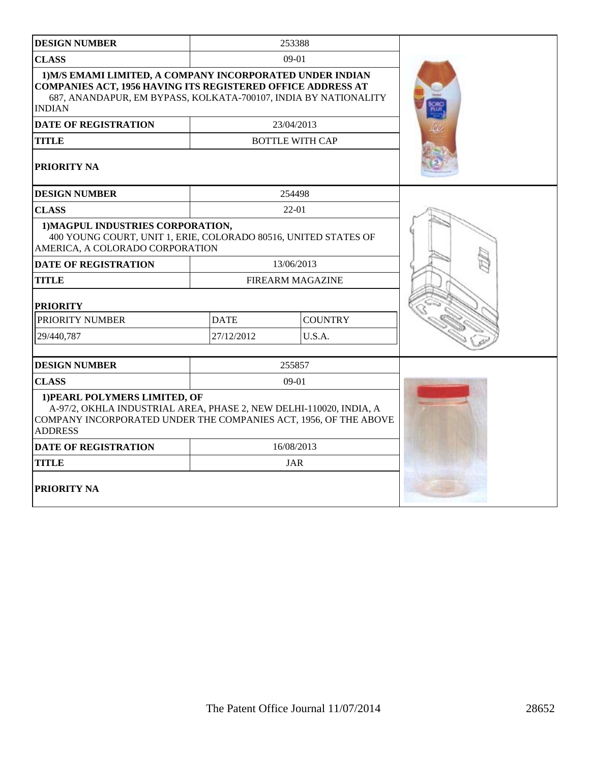| <b>DESIGN NUMBER</b>                                                                                                                                                                                                |             | 253388                  |  |
|---------------------------------------------------------------------------------------------------------------------------------------------------------------------------------------------------------------------|-------------|-------------------------|--|
| <b>CLASS</b>                                                                                                                                                                                                        |             | $09-01$                 |  |
| 1) M/S EMAMI LIMITED, A COMPANY INCORPORATED UNDER INDIAN<br><b>COMPANIES ACT, 1956 HAVING ITS REGISTERED OFFICE ADDRESS AT</b><br>687, ANANDAPUR, EM BYPASS, KOLKATA-700107, INDIA BY NATIONALITY<br><b>INDIAN</b> |             |                         |  |
| <b>DATE OF REGISTRATION</b>                                                                                                                                                                                         |             | 23/04/2013              |  |
| <b>TITLE</b>                                                                                                                                                                                                        |             | <b>BOTTLE WITH CAP</b>  |  |
| <b>PRIORITY NA</b>                                                                                                                                                                                                  |             |                         |  |
| <b>DESIGN NUMBER</b>                                                                                                                                                                                                |             | 254498                  |  |
| <b>CLASS</b>                                                                                                                                                                                                        |             | 22-01                   |  |
| 1) MAGPUL INDUSTRIES CORPORATION,<br>400 YOUNG COURT, UNIT 1, ERIE, COLORADO 80516, UNITED STATES OF<br>AMERICA, A COLORADO CORPORATION                                                                             |             |                         |  |
| <b>DATE OF REGISTRATION</b>                                                                                                                                                                                         |             | 13/06/2013              |  |
| <b>TITLE</b>                                                                                                                                                                                                        |             | <b>FIREARM MAGAZINE</b> |  |
| <b>PRIORITY</b>                                                                                                                                                                                                     |             |                         |  |
| PRIORITY NUMBER                                                                                                                                                                                                     | <b>DATE</b> | <b>COUNTRY</b>          |  |
| 29/440,787                                                                                                                                                                                                          | 27/12/2012  | U.S.A.                  |  |
| <b>DESIGN NUMBER</b>                                                                                                                                                                                                |             | 255857                  |  |
| <b>CLASS</b>                                                                                                                                                                                                        |             | $09-01$                 |  |
| 1) PEARL POLYMERS LIMITED, OF<br>A-97/2, OKHLA INDUSTRIAL AREA, PHASE 2, NEW DELHI-110020, INDIA, A<br>COMPANY INCORPORATED UNDER THE COMPANIES ACT, 1956, OF THE ABOVE<br><b>ADDRESS</b>                           |             |                         |  |
| <b>DATE OF REGISTRATION</b>                                                                                                                                                                                         |             | 16/08/2013              |  |
| <b>TITLE</b>                                                                                                                                                                                                        |             | <b>JAR</b>              |  |
| <b>PRIORITY NA</b>                                                                                                                                                                                                  |             |                         |  |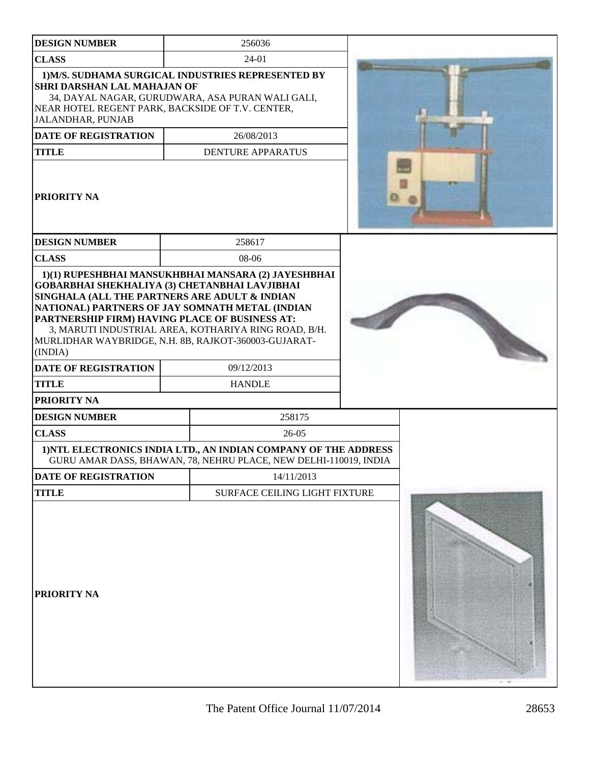| <b>DESIGN NUMBER</b>                                                                                                                                                                                                                                                                           | 256036                                                                                                                              |  |
|------------------------------------------------------------------------------------------------------------------------------------------------------------------------------------------------------------------------------------------------------------------------------------------------|-------------------------------------------------------------------------------------------------------------------------------------|--|
| <b>CLASS</b>                                                                                                                                                                                                                                                                                   | 24-01                                                                                                                               |  |
| <b>SHRI DARSHAN LAL MAHAJAN OF</b><br>NEAR HOTEL REGENT PARK, BACKSIDE OF T.V. CENTER,<br>JALANDHAR, PUNJAB                                                                                                                                                                                    | 1) M/S. SUDHAMA SURGICAL INDUSTRIES REPRESENTED BY<br>34, DAYAL NAGAR, GURUDWARA, ASA PURAN WALI GALI,                              |  |
| <b>DATE OF REGISTRATION</b>                                                                                                                                                                                                                                                                    | 26/08/2013                                                                                                                          |  |
| <b>TITLE</b><br>PRIORITY NA                                                                                                                                                                                                                                                                    | <b>DENTURE APPARATUS</b>                                                                                                            |  |
| <b>DESIGN NUMBER</b>                                                                                                                                                                                                                                                                           | 258617                                                                                                                              |  |
| <b>CLASS</b>                                                                                                                                                                                                                                                                                   | 08-06                                                                                                                               |  |
| GOBARBHAI SHEKHALIYA (3) CHETANBHAI LAVJIBHAI<br>SINGHALA (ALL THE PARTNERS ARE ADULT & INDIAN<br>NATIONAL) PARTNERS OF JAY SOMNATH METAL (INDIAN<br>PARTNERSHIP FIRM) HAVING PLACE OF BUSINESS AT:<br>MURLIDHAR WAYBRIDGE, N.H. 8B, RAJKOT-360003-GUJARAT-<br>(INDIA)<br>DATE OF REGISTRATION | 1)(1) RUPESHBHAI MANSUKHBHAI MANSARA (2) JAYESHBHAI<br>3, MARUTI INDUSTRIAL AREA, KOTHARIYA RING ROAD, B/H.<br>09/12/2013           |  |
| <b>TITLE</b>                                                                                                                                                                                                                                                                                   | <b>HANDLE</b>                                                                                                                       |  |
| PRIORITY NA                                                                                                                                                                                                                                                                                    |                                                                                                                                     |  |
| <b>DESIGN NUMBER</b>                                                                                                                                                                                                                                                                           | 258175                                                                                                                              |  |
| <b>CLASS</b>                                                                                                                                                                                                                                                                                   | 26-05                                                                                                                               |  |
|                                                                                                                                                                                                                                                                                                | 1) NTL ELECTRONICS INDIA LTD., AN INDIAN COMPANY OF THE ADDRESS<br>GURU AMAR DASS, BHAWAN, 78, NEHRU PLACE, NEW DELHI-110019, INDIA |  |
| DATE OF REGISTRATION                                                                                                                                                                                                                                                                           | 14/11/2013                                                                                                                          |  |
| <b>TITLE</b>                                                                                                                                                                                                                                                                                   | SURFACE CEILING LIGHT FIXTURE                                                                                                       |  |
| PRIORITY NA                                                                                                                                                                                                                                                                                    |                                                                                                                                     |  |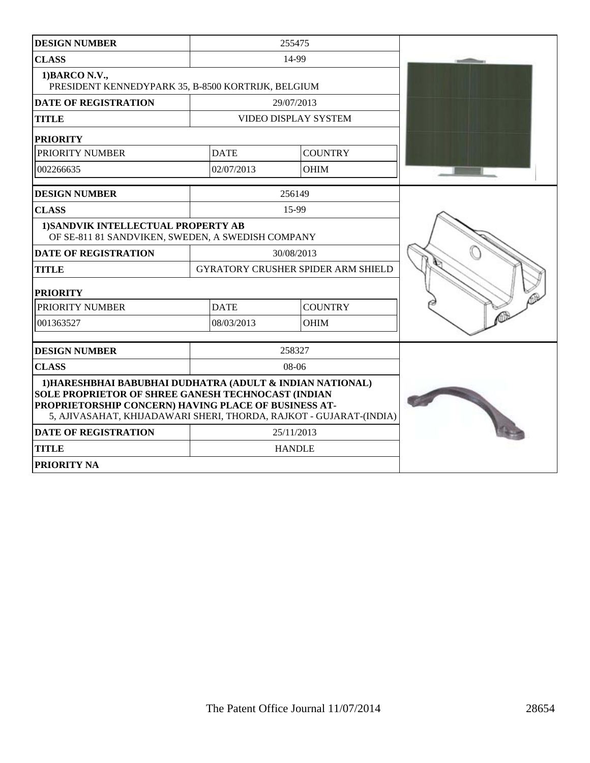| <b>DESIGN NUMBER</b>                                                                                                                                                                                                                          |             | 255475                                    |  |
|-----------------------------------------------------------------------------------------------------------------------------------------------------------------------------------------------------------------------------------------------|-------------|-------------------------------------------|--|
| <b>CLASS</b>                                                                                                                                                                                                                                  |             | 14-99                                     |  |
| 1) BARCO N.V.,<br>PRESIDENT KENNEDYPARK 35, B-8500 KORTRIJK, BELGIUM                                                                                                                                                                          |             |                                           |  |
| <b>DATE OF REGISTRATION</b>                                                                                                                                                                                                                   |             | 29/07/2013                                |  |
| <b>TITLE</b>                                                                                                                                                                                                                                  |             | <b>VIDEO DISPLAY SYSTEM</b>               |  |
| <b>PRIORITY</b>                                                                                                                                                                                                                               |             |                                           |  |
| PRIORITY NUMBER                                                                                                                                                                                                                               | <b>DATE</b> | <b>COUNTRY</b>                            |  |
| 002266635                                                                                                                                                                                                                                     | 02/07/2013  | <b>OHIM</b>                               |  |
| <b>DESIGN NUMBER</b>                                                                                                                                                                                                                          |             | 256149                                    |  |
| <b>CLASS</b>                                                                                                                                                                                                                                  |             | 15-99                                     |  |
| 1) SANDVIK INTELLECTUAL PROPERTY AB<br>OF SE-811 81 SANDVIKEN, SWEDEN, A SWEDISH COMPANY                                                                                                                                                      |             |                                           |  |
| <b>DATE OF REGISTRATION</b>                                                                                                                                                                                                                   |             | 30/08/2013                                |  |
| <b>TITLE</b>                                                                                                                                                                                                                                  |             | <b>GYRATORY CRUSHER SPIDER ARM SHIELD</b> |  |
| <b>PRIORITY</b>                                                                                                                                                                                                                               |             |                                           |  |
| PRIORITY NUMBER                                                                                                                                                                                                                               | <b>DATE</b> | <b>COUNTRY</b>                            |  |
| 001363527                                                                                                                                                                                                                                     | 08/03/2013  | <b>OHIM</b>                               |  |
| <b>DESIGN NUMBER</b>                                                                                                                                                                                                                          |             | 258327                                    |  |
| <b>CLASS</b>                                                                                                                                                                                                                                  |             | $08-06$                                   |  |
| 1) HARESHBHAI BABUBHAI DUDHATRA (ADULT & INDIAN NATIONAL)<br>SOLE PROPRIETOR OF SHREE GANESH TECHNOCAST (INDIAN<br>PROPRIETORSHIP CONCERN) HAVING PLACE OF BUSINESS AT-<br>5, AJIVASAHAT, KHIJADAWARI SHERI, THORDA, RAJKOT - GUJARAT-(INDIA) |             |                                           |  |
| <b>DATE OF REGISTRATION</b>                                                                                                                                                                                                                   |             | 25/11/2013                                |  |
| <b>TITLE</b>                                                                                                                                                                                                                                  |             | <b>HANDLE</b>                             |  |
| <b>PRIORITY NA</b>                                                                                                                                                                                                                            |             |                                           |  |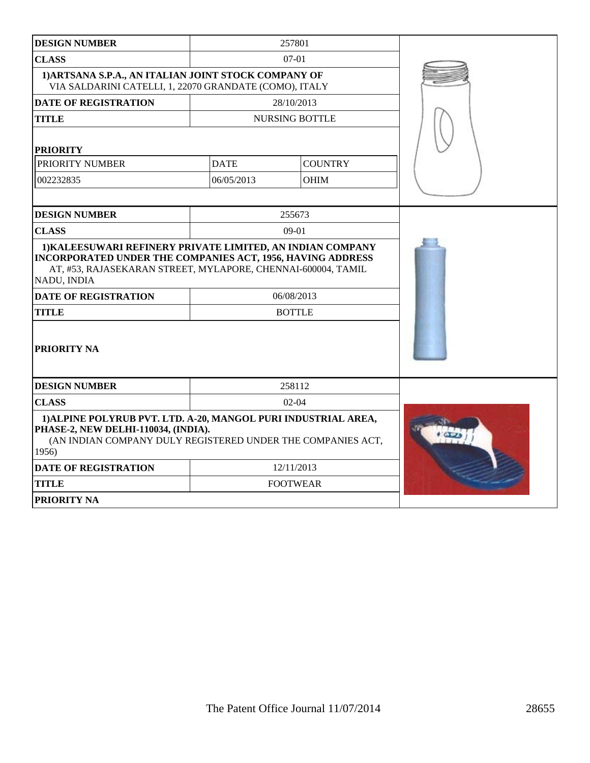| <b>DESIGN NUMBER</b>                                                                                                                                                                                    |             | 257801                |  |
|---------------------------------------------------------------------------------------------------------------------------------------------------------------------------------------------------------|-------------|-----------------------|--|
| <b>CLASS</b>                                                                                                                                                                                            |             | $07 - 01$             |  |
| 1) ARTSANA S.P.A., AN ITALIAN JOINT STOCK COMPANY OF<br>VIA SALDARINI CATELLI, 1, 22070 GRANDATE (COMO), ITALY                                                                                          |             |                       |  |
| <b>DATE OF REGISTRATION</b>                                                                                                                                                                             |             | 28/10/2013            |  |
| <b>TITLE</b>                                                                                                                                                                                            |             | <b>NURSING BOTTLE</b> |  |
| <b>PRIORITY</b>                                                                                                                                                                                         |             |                       |  |
| PRIORITY NUMBER                                                                                                                                                                                         | <b>DATE</b> | <b>COUNTRY</b>        |  |
| 002232835                                                                                                                                                                                               | 06/05/2013  | <b>OHIM</b>           |  |
|                                                                                                                                                                                                         |             |                       |  |
| <b>DESIGN NUMBER</b>                                                                                                                                                                                    |             | 255673                |  |
| <b>CLASS</b>                                                                                                                                                                                            |             | $09-01$               |  |
| 1) KALEESUWARI REFINERY PRIVATE LIMITED, AN INDIAN COMPANY<br>INCORPORATED UNDER THE COMPANIES ACT, 1956, HAVING ADDRESS<br>AT, #53, RAJASEKARAN STREET, MYLAPORE, CHENNAI-600004, TAMIL<br>NADU, INDIA |             |                       |  |
| <b>DATE OF REGISTRATION</b>                                                                                                                                                                             |             | 06/08/2013            |  |
| <b>TITLE</b>                                                                                                                                                                                            |             | <b>BOTTLE</b>         |  |
| <b>PRIORITY NA</b>                                                                                                                                                                                      |             |                       |  |
| <b>DESIGN NUMBER</b>                                                                                                                                                                                    |             | 258112                |  |
| <b>CLASS</b>                                                                                                                                                                                            |             | $02-04$               |  |
| 1) ALPINE POLYRUB PVT, LTD. A-20, MANGOL PURI INDUSTRIAL AREA,<br>PHASE-2, NEW DELHI-110034, (INDIA).<br>(AN INDIAN COMPANY DULY REGISTERED UNDER THE COMPANIES ACT,<br>1956)                           |             |                       |  |
| <b>DATE OF REGISTRATION</b>                                                                                                                                                                             |             | 12/11/2013            |  |
| <b>TITLE</b>                                                                                                                                                                                            |             | <b>FOOTWEAR</b>       |  |
| <b>PRIORITY NA</b>                                                                                                                                                                                      |             |                       |  |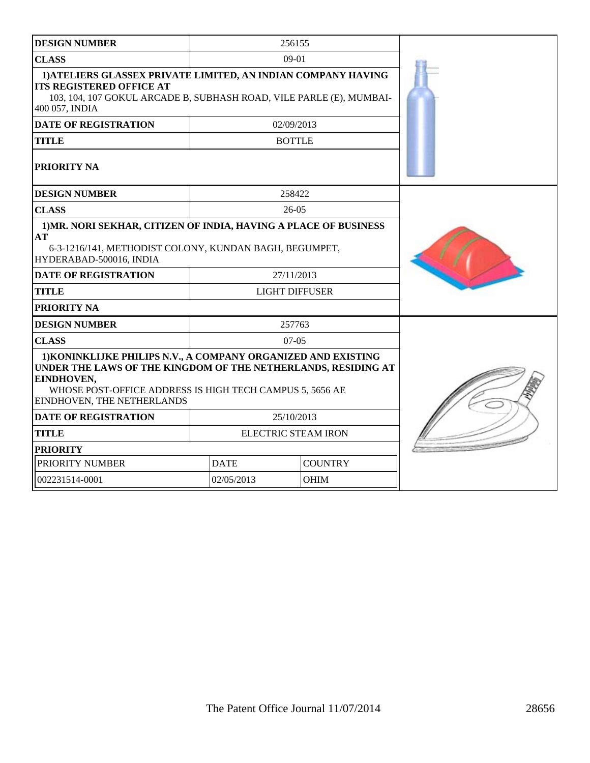| <b>DESIGN NUMBER</b>                                                                                                                                                                                                                   |             | 256155                              |  |
|----------------------------------------------------------------------------------------------------------------------------------------------------------------------------------------------------------------------------------------|-------------|-------------------------------------|--|
| <b>CLASS</b>                                                                                                                                                                                                                           |             | $09-01$                             |  |
| 1) ATELIERS GLASSEX PRIVATE LIMITED, AN INDIAN COMPANY HAVING<br><b>ITS REGISTERED OFFICE AT</b><br>103, 104, 107 GOKUL ARCADE B, SUBHASH ROAD, VILE PARLE (E), MUMBAI-<br>400 057, INDIA                                              |             |                                     |  |
| <b>DATE OF REGISTRATION</b>                                                                                                                                                                                                            |             | 02/09/2013                          |  |
| <b>TITLE</b>                                                                                                                                                                                                                           |             | <b>BOTTLE</b>                       |  |
| PRIORITY NA                                                                                                                                                                                                                            |             |                                     |  |
| <b>DESIGN NUMBER</b>                                                                                                                                                                                                                   |             | 258422                              |  |
| <b>CLASS</b>                                                                                                                                                                                                                           |             | $26 - 05$                           |  |
| 1) MR. NORI SEKHAR, CITIZEN OF INDIA, HAVING A PLACE OF BUSINESS<br>AT<br>6-3-1216/141, METHODIST COLONY, KUNDAN BAGH, BEGUMPET,<br>HYDERABAD-500016, INDIA<br><b>DATE OF REGISTRATION</b><br><b>TITLE</b><br>PRIORITY NA              |             | 27/11/2013<br><b>LIGHT DIFFUSER</b> |  |
| <b>DESIGN NUMBER</b>                                                                                                                                                                                                                   |             | 257763                              |  |
| <b>CLASS</b>                                                                                                                                                                                                                           |             | $07-05$                             |  |
| 1) KONINKLIJKE PHILIPS N.V., A COMPANY ORGANIZED AND EXISTING<br>UNDER THE LAWS OF THE KINGDOM OF THE NETHERLANDS, RESIDING AT<br>EINDHOVEN,<br>WHOSE POST-OFFICE ADDRESS IS HIGH TECH CAMPUS 5, 5656 AE<br>EINDHOVEN, THE NETHERLANDS |             |                                     |  |
| <b>DATE OF REGISTRATION</b>                                                                                                                                                                                                            |             | 25/10/2013                          |  |
| <b>TITLE</b>                                                                                                                                                                                                                           |             | <b>ELECTRIC STEAM IRON</b>          |  |
| <b>PRIORITY</b>                                                                                                                                                                                                                        |             |                                     |  |
| PRIORITY NUMBER                                                                                                                                                                                                                        | <b>DATE</b> | <b>COUNTRY</b>                      |  |
| 002231514-0001                                                                                                                                                                                                                         | 02/05/2013  | <b>OHIM</b>                         |  |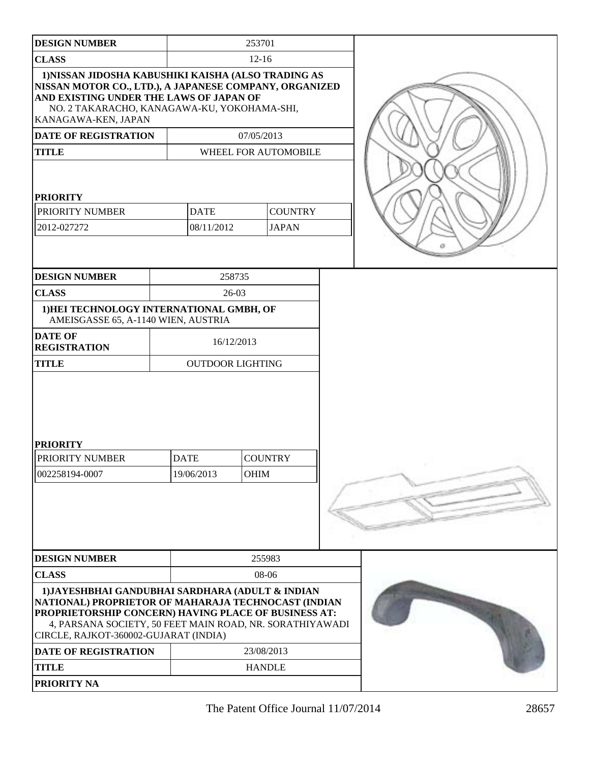| <b>DESIGN NUMBER</b>                                                                                                                                                                                                                                                 |                           | 253701     |                                |  |
|----------------------------------------------------------------------------------------------------------------------------------------------------------------------------------------------------------------------------------------------------------------------|---------------------------|------------|--------------------------------|--|
| <b>CLASS</b>                                                                                                                                                                                                                                                         |                           | $12 - 16$  |                                |  |
| 1)NISSAN JIDOSHA KABUSHIKI KAISHA (ALSO TRADING AS<br>NISSAN MOTOR CO., LTD.), A JAPANESE COMPANY, ORGANIZED<br>AND EXISTING UNDER THE LAWS OF JAPAN OF<br>NO. 2 TAKARACHO, KANAGAWA-KU, YOKOHAMA-SHI,<br>KANAGAWA-KEN, JAPAN                                        |                           |            |                                |  |
| <b>DATE OF REGISTRATION</b>                                                                                                                                                                                                                                          |                           | 07/05/2013 |                                |  |
| <b>TITLE</b>                                                                                                                                                                                                                                                         |                           |            | WHEEL FOR AUTOMOBILE           |  |
| <b>PRIORITY</b><br>PRIORITY NUMBER<br>2012-027272                                                                                                                                                                                                                    | <b>DATE</b><br>08/11/2012 |            | <b>COUNTRY</b><br><b>JAPAN</b> |  |
| <b>DESIGN NUMBER</b>                                                                                                                                                                                                                                                 |                           | 258735     |                                |  |
| <b>CLASS</b>                                                                                                                                                                                                                                                         |                           | $26-03$    |                                |  |
| 1) HEI TECHNOLOGY INTERNATIONAL GMBH, OF<br>AMEISGASSE 65, A-1140 WIEN, AUSTRIA                                                                                                                                                                                      |                           |            |                                |  |
| <b>DATE OF</b><br><b>REGISTRATION</b>                                                                                                                                                                                                                                | 16/12/2013                |            |                                |  |
| <b>TITLE</b>                                                                                                                                                                                                                                                         | <b>OUTDOOR LIGHTING</b>   |            |                                |  |
| <b>PRIORITY</b><br>PRIORITY NUMBER<br>002258194-0007                                                                                                                                                                                                                 | <b>DATE</b><br>19/06/2013 | OHIM       | <b>COUNTRY</b>                 |  |
| <b>DESIGN NUMBER</b>                                                                                                                                                                                                                                                 | 255983                    |            |                                |  |
| <b>CLASS</b>                                                                                                                                                                                                                                                         |                           |            | 08-06                          |  |
| 1) JAYESHBHAI GANDUBHAI SARDHARA (ADULT & INDIAN<br>NATIONAL) PROPRIETOR OF MAHARAJA TECHNOCAST (INDIAN<br>PROPRIETORSHIP CONCERN) HAVING PLACE OF BUSINESS AT:<br>4, PARSANA SOCIETY, 50 FEET MAIN ROAD, NR. SORATHIYAWADI<br>CIRCLE, RAJKOT-360002-GUJARAT (INDIA) |                           |            |                                |  |
| <b>DATE OF REGISTRATION</b>                                                                                                                                                                                                                                          |                           |            | 23/08/2013                     |  |
| <b>TITLE</b>                                                                                                                                                                                                                                                         |                           |            | <b>HANDLE</b>                  |  |
| PRIORITY NA                                                                                                                                                                                                                                                          |                           |            |                                |  |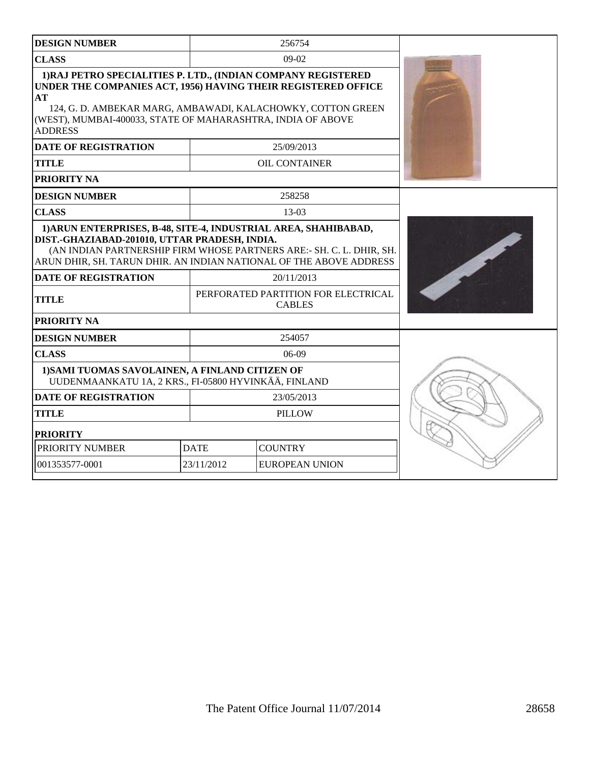| <b>DESIGN NUMBER</b>                                                                                                                                                                                                                                                                 | 256754                        |                                                      |  |
|--------------------------------------------------------------------------------------------------------------------------------------------------------------------------------------------------------------------------------------------------------------------------------------|-------------------------------|------------------------------------------------------|--|
| <b>CLASS</b>                                                                                                                                                                                                                                                                         |                               | 09-02                                                |  |
| 1) RAJ PETRO SPECIALITIES P. LTD., (INDIAN COMPANY REGISTERED<br>UNDER THE COMPANIES ACT, 1956) HAVING THEIR REGISTERED OFFICE<br>AТ<br>124, G. D. AMBEKAR MARG, AMBAWADI, KALACHOWKY, COTTON GREEN<br>(WEST), MUMBAI-400033, STATE OF MAHARASHTRA, INDIA OF ABOVE<br><b>ADDRESS</b> |                               |                                                      |  |
| <b>DATE OF REGISTRATION</b>                                                                                                                                                                                                                                                          |                               | 25/09/2013                                           |  |
| <b>TITLE</b>                                                                                                                                                                                                                                                                         |                               | <b>OIL CONTAINER</b>                                 |  |
| PRIORITY NA                                                                                                                                                                                                                                                                          |                               |                                                      |  |
| <b>DESIGN NUMBER</b>                                                                                                                                                                                                                                                                 |                               | 258258                                               |  |
| <b>CLASS</b>                                                                                                                                                                                                                                                                         |                               | $13-03$                                              |  |
| 1) ARUN ENTERPRISES, B-48, SITE-4, INDUSTRIAL AREA, SHAHIBABAD,<br>DIST.-GHAZIABAD-201010, UTTAR PRADESH, INDIA.<br>(AN INDIAN PARTNERSHIP FIRM WHOSE PARTNERS ARE:- SH. C. L. DHIR, SH.<br>ARUN DHIR, SH. TARUN DHIR. AN INDIAN NATIONAL OF THE ABOVE ADDRESS                       |                               |                                                      |  |
| <b>DATE OF REGISTRATION</b>                                                                                                                                                                                                                                                          | 20/11/2013                    |                                                      |  |
| <b>TITLE</b>                                                                                                                                                                                                                                                                         |                               | PERFORATED PARTITION FOR ELECTRICAL<br><b>CABLES</b> |  |
| PRIORITY NA                                                                                                                                                                                                                                                                          |                               |                                                      |  |
| <b>DESIGN NUMBER</b>                                                                                                                                                                                                                                                                 |                               | 254057                                               |  |
| <b>CLASS</b>                                                                                                                                                                                                                                                                         |                               | $06-09$                                              |  |
| 1) SAMI TUOMAS SAVOLAINEN, A FINLAND CITIZEN OF<br>UUDENMAANKATU 1A, 2 KRS., FI-05800 HYVINKÄÄ, FINLAND                                                                                                                                                                              |                               |                                                      |  |
| <b>DATE OF REGISTRATION</b><br>23/05/2013                                                                                                                                                                                                                                            |                               |                                                      |  |
| <b>TITLE</b>                                                                                                                                                                                                                                                                         | <b>PILLOW</b>                 |                                                      |  |
| <b>PRIORITY</b>                                                                                                                                                                                                                                                                      |                               |                                                      |  |
| PRIORITY NUMBER                                                                                                                                                                                                                                                                      | <b>COUNTRY</b><br><b>DATE</b> |                                                      |  |
| 001353577-0001                                                                                                                                                                                                                                                                       | 23/11/2012                    | <b>EUROPEAN UNION</b>                                |  |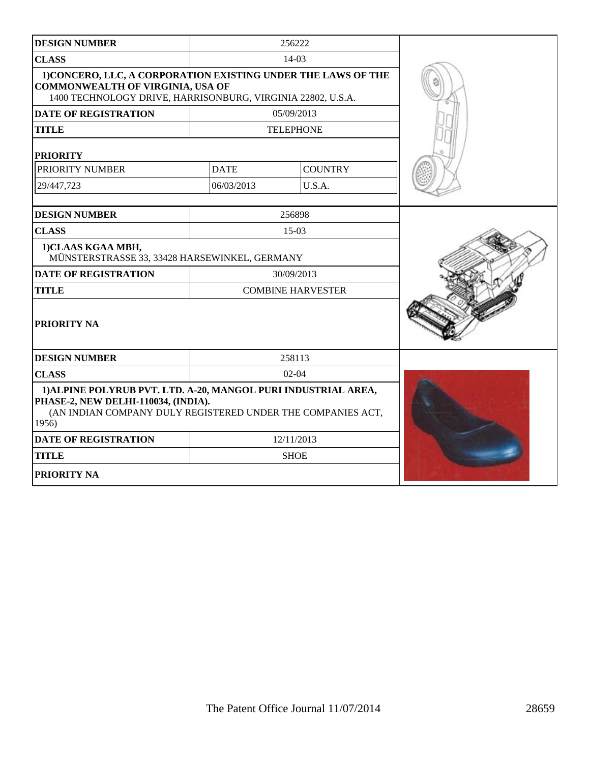| <b>DESIGN NUMBER</b>                                                                                                                                                          |             | 256222                   |  |
|-------------------------------------------------------------------------------------------------------------------------------------------------------------------------------|-------------|--------------------------|--|
| <b>CLASS</b>                                                                                                                                                                  |             | $14-03$                  |  |
| 1) CONCERO, LLC, A CORPORATION EXISTING UNDER THE LAWS OF THE<br><b>COMMONWEALTH OF VIRGINIA, USA OF</b><br>1400 TECHNOLOGY DRIVE, HARRISONBURG, VIRGINIA 22802, U.S.A.       |             |                          |  |
| <b>DATE OF REGISTRATION</b>                                                                                                                                                   |             | 05/09/2013               |  |
| <b>TITLE</b>                                                                                                                                                                  |             | <b>TELEPHONE</b>         |  |
| <b>PRIORITY</b>                                                                                                                                                               |             |                          |  |
| PRIORITY NUMBER                                                                                                                                                               | <b>DATE</b> | <b>COUNTRY</b>           |  |
| 29/447,723                                                                                                                                                                    | 06/03/2013  | U.S.A.                   |  |
| <b>DESIGN NUMBER</b>                                                                                                                                                          |             | 256898                   |  |
| <b>CLASS</b>                                                                                                                                                                  |             | $15-03$                  |  |
| 1)CLAAS KGAA MBH,<br>MÜNSTERSTRASSE 33, 33428 HARSEWINKEL, GERMANY                                                                                                            |             |                          |  |
| <b>DATE OF REGISTRATION</b>                                                                                                                                                   |             | 30/09/2013               |  |
| <b>TITLE</b>                                                                                                                                                                  |             | <b>COMBINE HARVESTER</b> |  |
| PRIORITY NA                                                                                                                                                                   |             |                          |  |
| <b>DESIGN NUMBER</b>                                                                                                                                                          |             | 258113                   |  |
| <b>CLASS</b>                                                                                                                                                                  |             | $02 - 04$                |  |
| 1) ALPINE POLYRUB PVT. LTD. A-20, MANGOL PURI INDUSTRIAL AREA,<br>PHASE-2, NEW DELHI-110034, (INDIA).<br>(AN INDIAN COMPANY DULY REGISTERED UNDER THE COMPANIES ACT,<br>1956) |             |                          |  |
| <b>DATE OF REGISTRATION</b>                                                                                                                                                   |             | 12/11/2013               |  |
| <b>TITLE</b>                                                                                                                                                                  |             | <b>SHOE</b>              |  |
| PRIORITY NA                                                                                                                                                                   |             |                          |  |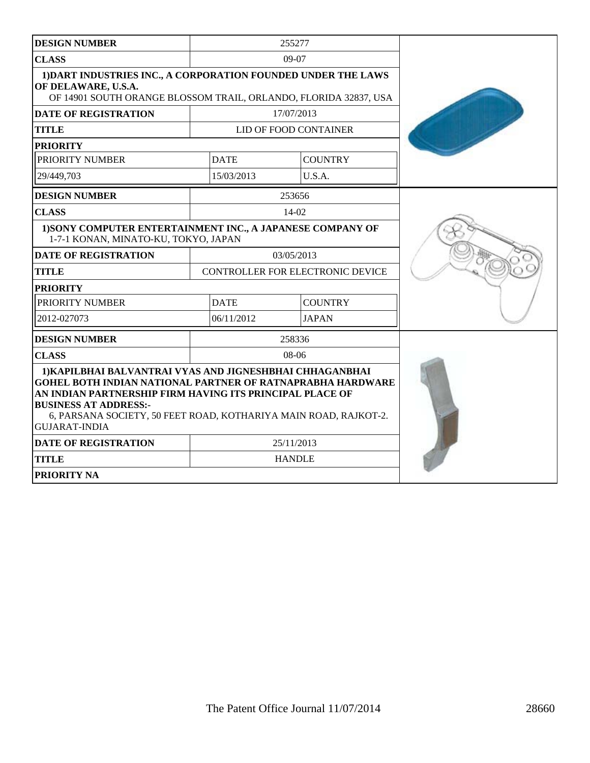| <b>DESIGN NUMBER</b>                                                                                                                                     |                                                                                                                                                                                                                                                                                              | 255277                           |  |  |
|----------------------------------------------------------------------------------------------------------------------------------------------------------|----------------------------------------------------------------------------------------------------------------------------------------------------------------------------------------------------------------------------------------------------------------------------------------------|----------------------------------|--|--|
| <b>CLASS</b>                                                                                                                                             |                                                                                                                                                                                                                                                                                              | $09-07$                          |  |  |
| 1) DART INDUSTRIES INC., A CORPORATION FOUNDED UNDER THE LAWS<br>OF DELAWARE, U.S.A.<br>OF 14901 SOUTH ORANGE BLOSSOM TRAIL, ORLANDO, FLORIDA 32837, USA |                                                                                                                                                                                                                                                                                              |                                  |  |  |
| <b>DATE OF REGISTRATION</b>                                                                                                                              |                                                                                                                                                                                                                                                                                              | 17/07/2013                       |  |  |
| <b>TITLE</b>                                                                                                                                             |                                                                                                                                                                                                                                                                                              | LID OF FOOD CONTAINER            |  |  |
| <b>PRIORITY</b>                                                                                                                                          |                                                                                                                                                                                                                                                                                              |                                  |  |  |
| PRIORITY NUMBER                                                                                                                                          | <b>DATE</b>                                                                                                                                                                                                                                                                                  | <b>COUNTRY</b>                   |  |  |
| 29/449,703                                                                                                                                               | 15/03/2013                                                                                                                                                                                                                                                                                   | U.S.A.                           |  |  |
| <b>DESIGN NUMBER</b>                                                                                                                                     |                                                                                                                                                                                                                                                                                              | 253656                           |  |  |
| <b>CLASS</b>                                                                                                                                             |                                                                                                                                                                                                                                                                                              | 14-02                            |  |  |
| 1) SONY COMPUTER ENTERTAINMENT INC., A JAPANESE COMPANY OF<br>1-7-1 KONAN, MINATO-KU, TOKYO, JAPAN                                                       |                                                                                                                                                                                                                                                                                              |                                  |  |  |
| <b>DATE OF REGISTRATION</b>                                                                                                                              |                                                                                                                                                                                                                                                                                              | 03/05/2013                       |  |  |
| <b>TITLE</b>                                                                                                                                             |                                                                                                                                                                                                                                                                                              | CONTROLLER FOR ELECTRONIC DEVICE |  |  |
| <b>PRIORITY</b>                                                                                                                                          |                                                                                                                                                                                                                                                                                              |                                  |  |  |
| PRIORITY NUMBER                                                                                                                                          | <b>DATE</b>                                                                                                                                                                                                                                                                                  | <b>COUNTRY</b>                   |  |  |
| 2012-027073                                                                                                                                              | 06/11/2012                                                                                                                                                                                                                                                                                   | <b>JAPAN</b>                     |  |  |
| <b>DESIGN NUMBER</b>                                                                                                                                     |                                                                                                                                                                                                                                                                                              | 258336                           |  |  |
| <b>CLASS</b>                                                                                                                                             |                                                                                                                                                                                                                                                                                              | $08-06$                          |  |  |
| <b>BUSINESS AT ADDRESS:-</b><br><b>GUJARAT-INDIA</b><br><b>DATE OF REGISTRATION</b><br><b>TITLE</b>                                                      | 1) KAPILBHAI BALVANTRAI VYAS AND JIGNESHBHAI CHHAGANBHAI<br><b>GOHEL BOTH INDIAN NATIONAL PARTNER OF RATNAPRABHA HARDWARE</b><br>AN INDIAN PARTNERSHIP FIRM HAVING ITS PRINCIPAL PLACE OF<br>6, PARSANA SOCIETY, 50 FEET ROAD, KOTHARIYA MAIN ROAD, RAJKOT-2.<br>25/11/2013<br><b>HANDLE</b> |                                  |  |  |
| PRIORITY NA                                                                                                                                              |                                                                                                                                                                                                                                                                                              |                                  |  |  |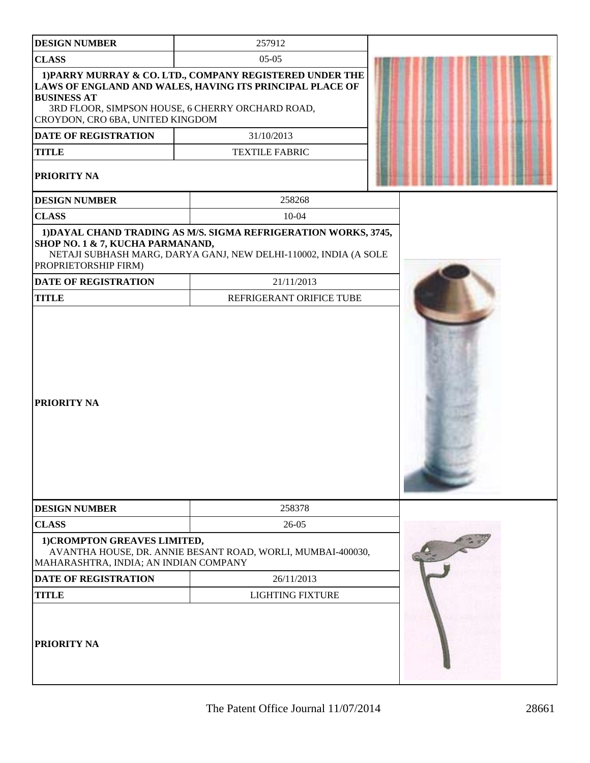| <b>DESIGN NUMBER</b>                                                  | 257912                                                                                                                                                                   |  |
|-----------------------------------------------------------------------|--------------------------------------------------------------------------------------------------------------------------------------------------------------------------|--|
| <b>CLASS</b>                                                          | $05-05$                                                                                                                                                                  |  |
| <b>BUSINESS AT</b><br>CROYDON, CRO 6BA, UNITED KINGDOM                | 1) PARRY MURRAY & CO. LTD., COMPANY REGISTERED UNDER THE<br>LAWS OF ENGLAND AND WALES, HAVING ITS PRINCIPAL PLACE OF<br>3RD FLOOR, SIMPSON HOUSE, 6 CHERRY ORCHARD ROAD, |  |
| <b>DATE OF REGISTRATION</b>                                           | 31/10/2013                                                                                                                                                               |  |
| <b>TITLE</b>                                                          | <b>TEXTILE FABRIC</b>                                                                                                                                                    |  |
| PRIORITY NA                                                           |                                                                                                                                                                          |  |
| <b>DESIGN NUMBER</b>                                                  | 258268                                                                                                                                                                   |  |
| <b>CLASS</b>                                                          | $10 - 04$                                                                                                                                                                |  |
| SHOP NO. 1 & 7, KUCHA PARMANAND,<br>PROPRIETORSHIP FIRM)              | 1) DAYAL CHAND TRADING AS M/S. SIGMA REFRIGERATION WORKS, 3745,<br>NETAJI SUBHASH MARG, DARYA GANJ, NEW DELHI-110002, INDIA (A SOLE                                      |  |
| <b>DATE OF REGISTRATION</b>                                           | 21/11/2013                                                                                                                                                               |  |
| <b>TITLE</b>                                                          | REFRIGERANT ORIFICE TUBE                                                                                                                                                 |  |
| <b>PRIORITY NA</b>                                                    |                                                                                                                                                                          |  |
| <b>DESIGN NUMBER</b>                                                  | 258378                                                                                                                                                                   |  |
| <b>CLASS</b>                                                          | 26-05                                                                                                                                                                    |  |
| 1) CROMPTON GREAVES LIMITED,<br>MAHARASHTRA, INDIA; AN INDIAN COMPANY | AVANTHA HOUSE, DR. ANNIE BESANT ROAD, WORLI, MUMBAI-400030,                                                                                                              |  |
| <b>DATE OF REGISTRATION</b>                                           | 26/11/2013                                                                                                                                                               |  |
| <b>TITLE</b>                                                          | <b>LIGHTING FIXTURE</b>                                                                                                                                                  |  |
| PRIORITY NA                                                           |                                                                                                                                                                          |  |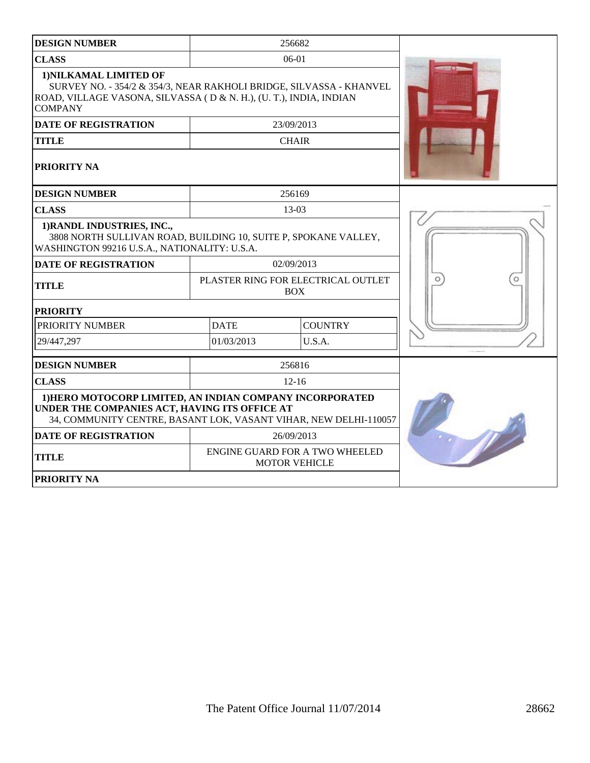| <b>DESIGN NUMBER</b>                                                                                                                                                                  | 256682                        |                                                        |  |
|---------------------------------------------------------------------------------------------------------------------------------------------------------------------------------------|-------------------------------|--------------------------------------------------------|--|
| <b>CLASS</b>                                                                                                                                                                          | $06-01$                       |                                                        |  |
| 1) NILKAMAL LIMITED OF<br>SURVEY NO. - 354/2 & 354/3, NEAR RAKHOLI BRIDGE, SILVASSA - KHANVEL<br>ROAD, VILLAGE VASONA, SILVASSA (D & N. H.), (U. T.), INDIA, INDIAN<br><b>COMPANY</b> |                               |                                                        |  |
| <b>DATE OF REGISTRATION</b>                                                                                                                                                           | 23/09/2013                    |                                                        |  |
| <b>TITLE</b>                                                                                                                                                                          |                               | <b>CHAIR</b>                                           |  |
| <b>PRIORITY NA</b>                                                                                                                                                                    |                               |                                                        |  |
| <b>DESIGN NUMBER</b>                                                                                                                                                                  |                               | 256169                                                 |  |
| <b>CLASS</b>                                                                                                                                                                          |                               | 13-03                                                  |  |
| 1) RANDL INDUSTRIES, INC.,<br>3808 NORTH SULLIVAN ROAD, BUILDING 10, SUITE P, SPOKANE VALLEY,<br>WASHINGTON 99216 U.S.A., NATIONALITY: U.S.A.                                         |                               |                                                        |  |
| <b>DATE OF REGISTRATION</b>                                                                                                                                                           |                               | 02/09/2013                                             |  |
| <b>TITLE</b>                                                                                                                                                                          |                               | PLASTER RING FOR ELECTRICAL OUTLET<br><b>BOX</b>       |  |
| <b>PRIORITY</b>                                                                                                                                                                       |                               |                                                        |  |
| PRIORITY NUMBER                                                                                                                                                                       | <b>DATE</b><br><b>COUNTRY</b> |                                                        |  |
| 29/447,297                                                                                                                                                                            | 01/03/2013<br>U.S.A.          |                                                        |  |
| <b>DESIGN NUMBER</b>                                                                                                                                                                  |                               | 256816                                                 |  |
| <b>CLASS</b>                                                                                                                                                                          |                               | $12 - 16$                                              |  |
| 1) HERO MOTOCORP LIMITED, AN INDIAN COMPANY INCORPORATED<br>UNDER THE COMPANIES ACT, HAVING ITS OFFICE AT<br>34, COMMUNITY CENTRE, BASANT LOK, VASANT VIHAR, NEW DELHI-110057         |                               |                                                        |  |
| <b>DATE OF REGISTRATION</b>                                                                                                                                                           |                               | 26/09/2013                                             |  |
| <b>TITLE</b>                                                                                                                                                                          |                               | ENGINE GUARD FOR A TWO WHEELED<br><b>MOTOR VEHICLE</b> |  |
| <b>PRIORITY NA</b>                                                                                                                                                                    |                               |                                                        |  |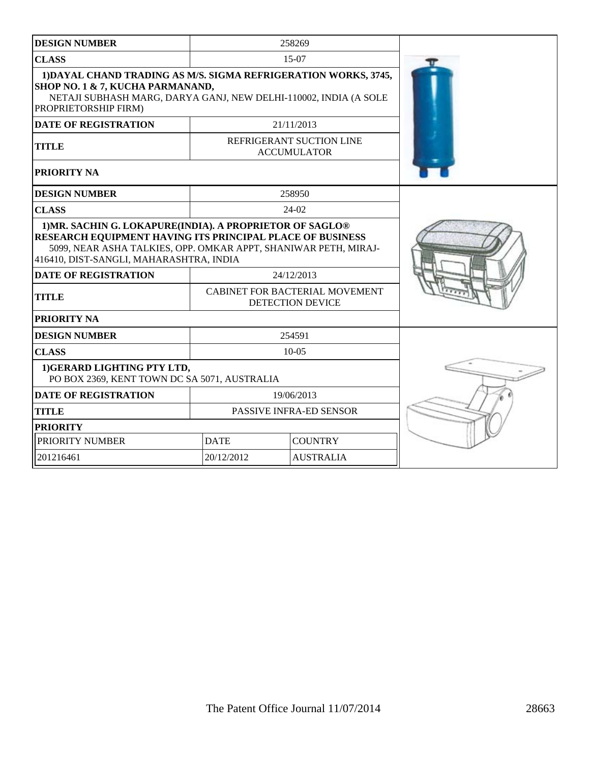| <b>DESIGN NUMBER</b>                                                                                                                                                                                                                       | 258269                                                    |                  |  |
|--------------------------------------------------------------------------------------------------------------------------------------------------------------------------------------------------------------------------------------------|-----------------------------------------------------------|------------------|--|
| <b>CLASS</b>                                                                                                                                                                                                                               |                                                           | $15-07$          |  |
| 1) DAYAL CHAND TRADING AS M/S. SIGMA REFRIGERATION WORKS, 3745,<br>SHOP NO. 1 & 7, KUCHA PARMANAND,<br>NETAJI SUBHASH MARG, DARYA GANJ, NEW DELHI-110002, INDIA (A SOLE<br>PROPRIETORSHIP FIRM)                                            |                                                           |                  |  |
| <b>DATE OF REGISTRATION</b>                                                                                                                                                                                                                |                                                           | 21/11/2013       |  |
| <b>TITLE</b>                                                                                                                                                                                                                               | REFRIGERANT SUCTION LINE<br><b>ACCUMULATOR</b>            |                  |  |
| PRIORITY NA                                                                                                                                                                                                                                |                                                           |                  |  |
| <b>DESIGN NUMBER</b>                                                                                                                                                                                                                       | 258950                                                    |                  |  |
| <b>CLASS</b>                                                                                                                                                                                                                               |                                                           | $24-02$          |  |
| 1) MR. SACHIN G. LOKAPURE(INDIA). A PROPRIETOR OF SAGLO®<br><b>RESEARCH EQUIPMENT HAVING ITS PRINCIPAL PLACE OF BUSINESS</b><br>5099, NEAR ASHA TALKIES, OPP. OMKAR APPT, SHANIWAR PETH, MIRAJ-<br>416410, DIST-SANGLI, MAHARASHTRA, INDIA |                                                           |                  |  |
| <b>DATE OF REGISTRATION</b>                                                                                                                                                                                                                | 24/12/2013                                                |                  |  |
| <b>TITLE</b>                                                                                                                                                                                                                               | CABINET FOR BACTERIAL MOVEMENT<br><b>DETECTION DEVICE</b> |                  |  |
| PRIORITY NA                                                                                                                                                                                                                                |                                                           |                  |  |
| <b>DESIGN NUMBER</b>                                                                                                                                                                                                                       | 254591                                                    |                  |  |
| <b>CLASS</b>                                                                                                                                                                                                                               | $10 - 05$                                                 |                  |  |
| 1) GERARD LIGHTING PTY LTD,<br>PO BOX 2369, KENT TOWN DC SA 5071, AUSTRALIA                                                                                                                                                                |                                                           |                  |  |
| <b>DATE OF REGISTRATION</b>                                                                                                                                                                                                                | 19/06/2013                                                |                  |  |
| <b>TITLE</b>                                                                                                                                                                                                                               | PASSIVE INFRA-ED SENSOR                                   |                  |  |
| <b>PRIORITY</b>                                                                                                                                                                                                                            |                                                           |                  |  |
| PRIORITY NUMBER                                                                                                                                                                                                                            | <b>DATE</b><br><b>COUNTRY</b>                             |                  |  |
| 201216461                                                                                                                                                                                                                                  | 20/12/2012                                                | <b>AUSTRALIA</b> |  |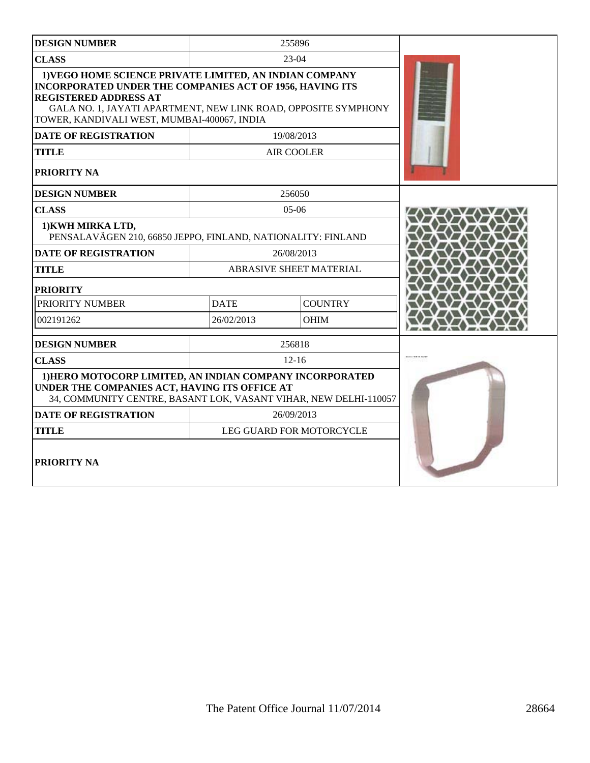| <b>DESIGN NUMBER</b>                                                                                                                                                                                                                                                 | 255896      |                          |  |
|----------------------------------------------------------------------------------------------------------------------------------------------------------------------------------------------------------------------------------------------------------------------|-------------|--------------------------|--|
| <b>CLASS</b>                                                                                                                                                                                                                                                         |             | $23-04$                  |  |
| 1) VEGO HOME SCIENCE PRIVATE LIMITED, AN INDIAN COMPANY<br>INCORPORATED UNDER THE COMPANIES ACT OF 1956, HAVING ITS<br><b>REGISTERED ADDRESS AT</b><br>GALA NO. 1, JAYATI APARTMENT, NEW LINK ROAD, OPPOSITE SYMPHONY<br>TOWER, KANDIVALI WEST, MUMBAI-400067, INDIA |             |                          |  |
| <b>DATE OF REGISTRATION</b>                                                                                                                                                                                                                                          |             | 19/08/2013               |  |
| <b>TITLE</b>                                                                                                                                                                                                                                                         |             | <b>AIR COOLER</b>        |  |
| PRIORITY NA                                                                                                                                                                                                                                                          |             |                          |  |
| <b>DESIGN NUMBER</b>                                                                                                                                                                                                                                                 |             | 256050                   |  |
| <b>CLASS</b>                                                                                                                                                                                                                                                         |             | $05-06$                  |  |
| 1) KWH MIRKA LTD,<br>PENSALAVÄGEN 210, 66850 JEPPO, FINLAND, NATIONALITY: FINLAND                                                                                                                                                                                    |             |                          |  |
| <b>DATE OF REGISTRATION</b>                                                                                                                                                                                                                                          |             | 26/08/2013               |  |
| <b>TITLE</b>                                                                                                                                                                                                                                                         |             | ABRASIVE SHEET MATERIAL  |  |
| <b>PRIORITY</b>                                                                                                                                                                                                                                                      |             |                          |  |
| PRIORITY NUMBER                                                                                                                                                                                                                                                      | <b>DATE</b> | <b>COUNTRY</b>           |  |
| 002191262                                                                                                                                                                                                                                                            | 26/02/2013  | <b>OHIM</b>              |  |
| <b>DESIGN NUMBER</b>                                                                                                                                                                                                                                                 | 256818      |                          |  |
| <b>CLASS</b>                                                                                                                                                                                                                                                         |             | $12 - 16$                |  |
| 1) HERO MOTOCORP LIMITED, AN INDIAN COMPANY INCORPORATED<br>UNDER THE COMPANIES ACT, HAVING ITS OFFICE AT<br>34, COMMUNITY CENTRE, BASANT LOK, VASANT VIHAR, NEW DELHI-110057                                                                                        |             |                          |  |
| <b>DATE OF REGISTRATION</b>                                                                                                                                                                                                                                          | 26/09/2013  |                          |  |
| <b>TITLE</b>                                                                                                                                                                                                                                                         |             | LEG GUARD FOR MOTORCYCLE |  |
| PRIORITY NA                                                                                                                                                                                                                                                          |             |                          |  |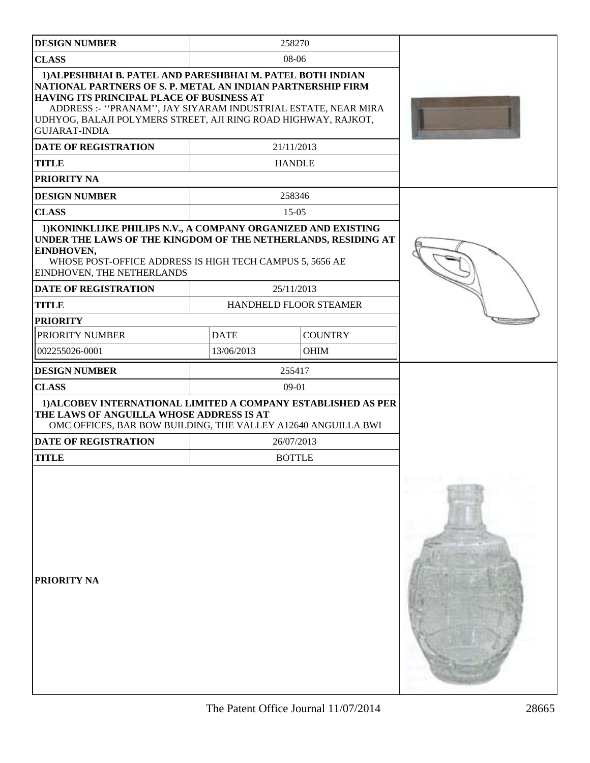| <b>DESIGN NUMBER</b>                                                                                                                                                                                                                                                                                                              |             | 258270                 |  |
|-----------------------------------------------------------------------------------------------------------------------------------------------------------------------------------------------------------------------------------------------------------------------------------------------------------------------------------|-------------|------------------------|--|
| <b>CLASS</b>                                                                                                                                                                                                                                                                                                                      | 08-06       |                        |  |
|                                                                                                                                                                                                                                                                                                                                   |             |                        |  |
| 1) ALPESHBHAI B. PATEL AND PARESHBHAI M. PATEL BOTH INDIAN<br>NATIONAL PARTNERS OF S. P. METAL AN INDIAN PARTNERSHIP FIRM<br>HAVING ITS PRINCIPAL PLACE OF BUSINESS AT<br>ADDRESS :- "PRANAM", JAY SIYARAM INDUSTRIAL ESTATE, NEAR MIRA<br>UDHYOG, BALAJI POLYMERS STREET, AJI RING ROAD HIGHWAY, RAJKOT,<br><b>GUJARAT-INDIA</b> |             |                        |  |
| <b>DATE OF REGISTRATION</b>                                                                                                                                                                                                                                                                                                       | 21/11/2013  |                        |  |
| <b>TITLE</b>                                                                                                                                                                                                                                                                                                                      |             | <b>HANDLE</b>          |  |
| PRIORITY NA                                                                                                                                                                                                                                                                                                                       |             |                        |  |
| <b>DESIGN NUMBER</b>                                                                                                                                                                                                                                                                                                              |             | 258346                 |  |
| <b>CLASS</b>                                                                                                                                                                                                                                                                                                                      |             | $15-05$                |  |
| 1) KONINKLIJKE PHILIPS N.V., A COMPANY ORGANIZED AND EXISTING<br>UNDER THE LAWS OF THE KINGDOM OF THE NETHERLANDS, RESIDING AT<br>EINDHOVEN,<br>WHOSE POST-OFFICE ADDRESS IS HIGH TECH CAMPUS 5, 5656 AE<br>EINDHOVEN, THE NETHERLANDS                                                                                            |             |                        |  |
| <b>DATE OF REGISTRATION</b>                                                                                                                                                                                                                                                                                                       |             | 25/11/2013             |  |
| <b>TITLE</b>                                                                                                                                                                                                                                                                                                                      |             | HANDHELD FLOOR STEAMER |  |
| <b>PRIORITY</b>                                                                                                                                                                                                                                                                                                                   |             |                        |  |
| PRIORITY NUMBER                                                                                                                                                                                                                                                                                                                   | <b>DATE</b> | <b>COUNTRY</b>         |  |
| 002255026-0001                                                                                                                                                                                                                                                                                                                    | 13/06/2013  | <b>OHIM</b>            |  |
| <b>DESIGN NUMBER</b>                                                                                                                                                                                                                                                                                                              |             | 255417                 |  |
| <b>CLASS</b>                                                                                                                                                                                                                                                                                                                      |             | 09-01                  |  |
| 1) ALCOBEV INTERNATIONAL LIMITED A COMPANY ESTABLISHED AS PER<br>THE LAWS OF ANGUILLA WHOSE ADDRESS IS AT<br>OMC OFFICES, BAR BOW BUILDING, THE VALLEY A12640 ANGUILLA BWI                                                                                                                                                        |             |                        |  |
| <b>DATE OF REGISTRATION</b>                                                                                                                                                                                                                                                                                                       |             | 26/07/2013             |  |
| <b>TITLE</b>                                                                                                                                                                                                                                                                                                                      |             | <b>BOTTLE</b>          |  |
| PRIORITY NA                                                                                                                                                                                                                                                                                                                       |             |                        |  |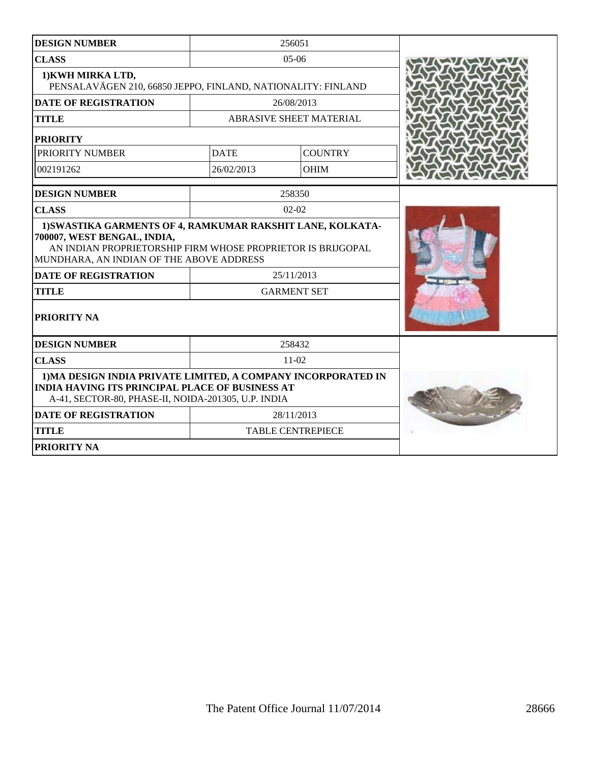| <b>DESIGN NUMBER</b>                                                                                                                                                                                 |                          | 256051                  |  |
|------------------------------------------------------------------------------------------------------------------------------------------------------------------------------------------------------|--------------------------|-------------------------|--|
| <b>CLASS</b>                                                                                                                                                                                         |                          | $05-06$                 |  |
| 1) KWH MIRKA LTD,<br>PENSALAVÄGEN 210, 66850 JEPPO, FINLAND, NATIONALITY: FINLAND                                                                                                                    |                          |                         |  |
| <b>DATE OF REGISTRATION</b>                                                                                                                                                                          |                          | 26/08/2013              |  |
| <b>TITLE</b>                                                                                                                                                                                         |                          | ABRASIVE SHEET MATERIAL |  |
| <b>PRIORITY</b>                                                                                                                                                                                      |                          |                         |  |
| PRIORITY NUMBER                                                                                                                                                                                      | <b>DATE</b>              | <b>COUNTRY</b>          |  |
| 002191262                                                                                                                                                                                            | 26/02/2013               | <b>OHIM</b>             |  |
| <b>DESIGN NUMBER</b>                                                                                                                                                                                 |                          | 258350                  |  |
| <b>CLASS</b>                                                                                                                                                                                         |                          | $02 - 02$               |  |
| 1) SWASTIKA GARMENTS OF 4, RAMKUMAR RAKSHIT LANE, KOLKATA-<br>700007, WEST BENGAL, INDIA,<br>AN INDIAN PROPRIETORSHIP FIRM WHOSE PROPRIETOR IS BRIJGOPAL<br>MUNDHARA, AN INDIAN OF THE ABOVE ADDRESS |                          |                         |  |
| <b>DATE OF REGISTRATION</b>                                                                                                                                                                          | 25/11/2013               |                         |  |
| <b>TITLE</b>                                                                                                                                                                                         | <b>GARMENT SET</b>       |                         |  |
| PRIORITY NA                                                                                                                                                                                          |                          |                         |  |
| <b>DESIGN NUMBER</b>                                                                                                                                                                                 |                          | 258432                  |  |
| <b>CLASS</b>                                                                                                                                                                                         |                          | 11-02                   |  |
| 1) MA DESIGN INDIA PRIVATE LIMITED, A COMPANY INCORPORATED IN<br><b>INDIA HAVING ITS PRINCIPAL PLACE OF BUSINESS AT</b><br>A-41, SECTOR-80, PHASE-II, NOIDA-201305, U.P. INDIA                       |                          |                         |  |
| <b>DATE OF REGISTRATION</b>                                                                                                                                                                          |                          | 28/11/2013              |  |
| <b>TITLE</b>                                                                                                                                                                                         | <b>TABLE CENTREPIECE</b> |                         |  |
| PRIORITY NA                                                                                                                                                                                          |                          |                         |  |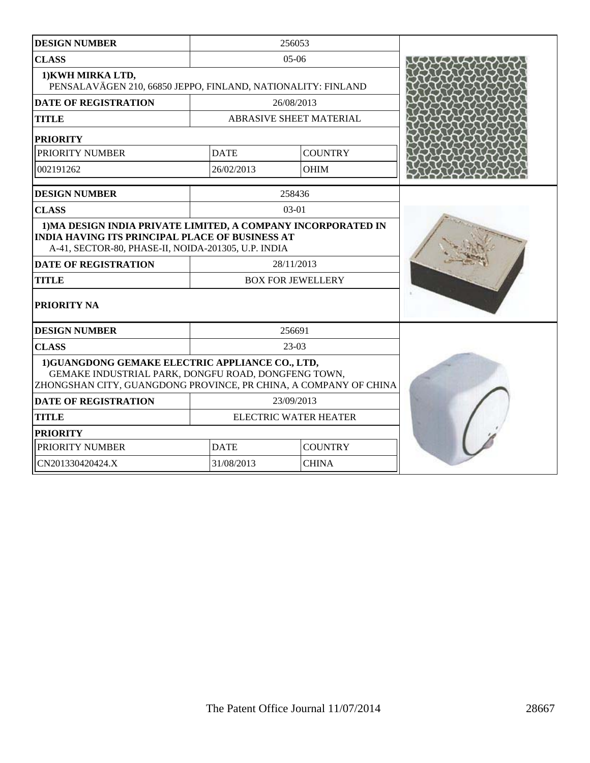| <b>DESIGN NUMBER</b>                                                                                                                                                           |                                | 256053         |  |
|--------------------------------------------------------------------------------------------------------------------------------------------------------------------------------|--------------------------------|----------------|--|
| <b>CLASS</b>                                                                                                                                                                   |                                | $05-06$        |  |
| 1) KWH MIRKA LTD,<br>PENSALAVÄGEN 210, 66850 JEPPO, FINLAND, NATIONALITY: FINLAND                                                                                              |                                |                |  |
| <b>DATE OF REGISTRATION</b>                                                                                                                                                    |                                | 26/08/2013     |  |
| <b>TITLE</b>                                                                                                                                                                   | <b>ABRASIVE SHEET MATERIAL</b> |                |  |
| <b>PRIORITY</b>                                                                                                                                                                |                                |                |  |
| PRIORITY NUMBER                                                                                                                                                                | <b>DATE</b>                    | <b>COUNTRY</b> |  |
| 002191262                                                                                                                                                                      | 26/02/2013                     | <b>OHIM</b>    |  |
| <b>DESIGN NUMBER</b>                                                                                                                                                           |                                | 258436         |  |
| <b>CLASS</b>                                                                                                                                                                   |                                | $03-01$        |  |
| 1) MA DESIGN INDIA PRIVATE LIMITED, A COMPANY INCORPORATED IN<br><b>INDIA HAVING ITS PRINCIPAL PLACE OF BUSINESS AT</b><br>A-41, SECTOR-80, PHASE-II, NOIDA-201305, U.P. INDIA |                                |                |  |
| <b>DATE OF REGISTRATION</b>                                                                                                                                                    |                                | 28/11/2013     |  |
| <b>TITLE</b>                                                                                                                                                                   | <b>BOX FOR JEWELLERY</b>       |                |  |
| PRIORITY NA                                                                                                                                                                    |                                |                |  |
| <b>DESIGN NUMBER</b>                                                                                                                                                           |                                | 256691         |  |
| <b>CLASS</b>                                                                                                                                                                   |                                | 23-03          |  |
| 1) GUANGDONG GEMAKE ELECTRIC APPLIANCE CO., LTD,<br>GEMAKE INDUSTRIAL PARK, DONGFU ROAD, DONGFENG TOWN,<br>ZHONGSHAN CITY, GUANGDONG PROVINCE, PR CHINA, A COMPANY OF CHINA    |                                |                |  |
| <b>DATE OF REGISTRATION</b>                                                                                                                                                    |                                | 23/09/2013     |  |
| <b>TITLE</b>                                                                                                                                                                   | <b>ELECTRIC WATER HEATER</b>   |                |  |
| <b>PRIORITY</b>                                                                                                                                                                |                                |                |  |
| PRIORITY NUMBER                                                                                                                                                                | <b>COUNTRY</b><br><b>DATE</b>  |                |  |
| CN201330420424.X                                                                                                                                                               | 31/08/2013<br><b>CHINA</b>     |                |  |